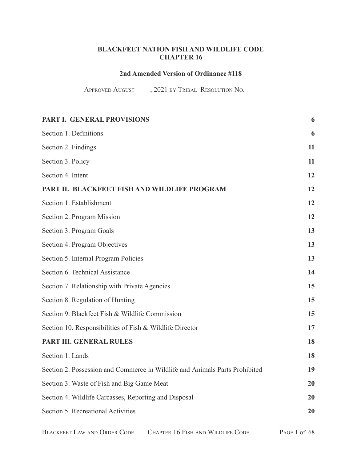## **BLACKFEET NATION FISH AND WILDLIFE CODE CHAPTER 16**

## **2nd Amended Version of Ordinance #118**

APPROVED AUGUST \_\_\_\_, 2021 BY TRIBAL RESOLUTION NO. \_\_\_\_\_\_\_\_\_\_\_\_\_\_\_\_\_\_\_\_\_\_\_\_\_\_\_\_\_

| PART I. GENERAL PROVISIONS                                                  | 6  |
|-----------------------------------------------------------------------------|----|
| Section 1. Definitions                                                      | 6  |
| Section 2. Findings                                                         | 11 |
| Section 3. Policy                                                           | 11 |
| Section 4. Intent                                                           | 12 |
| PART II. BLACKFEET FISH AND WILDLIFE PROGRAM                                | 12 |
| Section 1. Establishment                                                    | 12 |
| Section 2. Program Mission                                                  | 12 |
| Section 3. Program Goals                                                    | 13 |
| Section 4. Program Objectives                                               | 13 |
| Section 5. Internal Program Policies                                        | 13 |
| Section 6. Technical Assistance                                             | 14 |
| Section 7. Relationship with Private Agencies                               | 15 |
| Section 8. Regulation of Hunting                                            | 15 |
| Section 9. Blackfeet Fish & Wildlife Commission                             | 15 |
| Section 10. Responsibilities of Fish & Wildlife Director                    | 17 |
| PART III. GENERAL RULES                                                     | 18 |
| Section 1. Lands                                                            | 18 |
| Section 2. Possession and Commerce in Wildlife and Animals Parts Prohibited | 19 |
| Section 3. Waste of Fish and Big Game Meat                                  | 20 |
| Section 4. Wildlife Carcasses, Reporting and Disposal                       | 20 |
| Section 5. Recreational Activities                                          | 20 |
|                                                                             |    |

BLACKFEET LAW AND ORDER CODE CHAPTER 16 FISH AND WILDLIFE CODE PAGE 1 of 68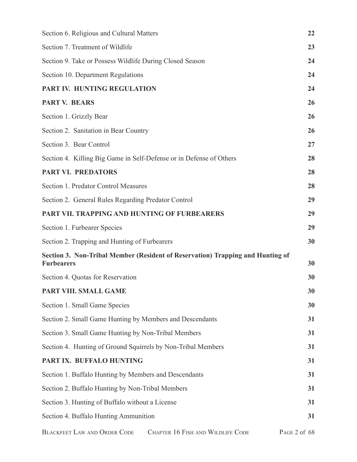| Section 6. Religious and Cultural Matters                                                           | 22           |
|-----------------------------------------------------------------------------------------------------|--------------|
| Section 7. Treatment of Wildlife                                                                    | 23           |
| Section 9. Take or Possess Wildlife During Closed Season                                            | 24           |
| Section 10. Department Regulations                                                                  | 24           |
| PART IV. HUNTING REGULATION                                                                         | 24           |
| <b>PART V. BEARS</b>                                                                                | 26           |
| Section 1. Grizzly Bear                                                                             | 26           |
| Section 2. Sanitation in Bear Country                                                               | 26           |
| Section 3. Bear Control                                                                             | 27           |
| Section 4. Killing Big Game in Self-Defense or in Defense of Others                                 | 28           |
| <b>PART VI. PREDATORS</b>                                                                           | 28           |
| Section 1. Predator Control Measures                                                                | 28           |
| Section 2. General Rules Regarding Predator Control                                                 | 29           |
| PART VII. TRAPPING AND HUNTING OF FURBEARERS                                                        | 29           |
| Section 1. Furbearer Species                                                                        | 29           |
| Section 2. Trapping and Hunting of Furbearers                                                       | 30           |
| Section 3. Non-Tribal Member (Resident of Reservation) Trapping and Hunting of<br><b>Furbearers</b> | 30           |
| Section 4. Quotas for Reservation                                                                   | 30           |
| PART VIII. SMALL GAME                                                                               | 30           |
| Section 1. Small Game Species                                                                       | 30           |
| Section 2. Small Game Hunting by Members and Descendants                                            | 31           |
| Section 3. Small Game Hunting by Non-Tribal Members                                                 | 31           |
| Section 4. Hunting of Ground Squirrels by Non-Tribal Members                                        | 31           |
| PART IX. BUFFALO HUNTING                                                                            | 31           |
| Section 1. Buffalo Hunting by Members and Descendants                                               | 31           |
| Section 2. Buffalo Hunting by Non-Tribal Members                                                    | 31           |
| Section 3. Hunting of Buffalo without a License                                                     | 31           |
| Section 4. Buffalo Hunting Ammunition                                                               | 31           |
| <b>BLACKFEET LAW AND ORDER CODE</b><br>CHAPTER 16 FISH AND WILDLIFE CODE                            | PAGE 2 of 68 |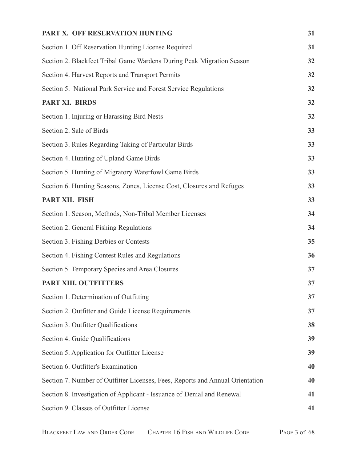| PART X. OFF RESERVATION HUNTING                                               | 31 |
|-------------------------------------------------------------------------------|----|
| Section 1. Off Reservation Hunting License Required                           | 31 |
| Section 2. Blackfeet Tribal Game Wardens During Peak Migration Season         | 32 |
| Section 4. Harvest Reports and Transport Permits                              | 32 |
| Section 5. National Park Service and Forest Service Regulations               | 32 |
| PART XI. BIRDS                                                                | 32 |
| Section 1. Injuring or Harassing Bird Nests                                   | 32 |
| Section 2. Sale of Birds                                                      | 33 |
| Section 3. Rules Regarding Taking of Particular Birds                         | 33 |
| Section 4. Hunting of Upland Game Birds                                       | 33 |
| Section 5. Hunting of Migratory Waterfowl Game Birds                          | 33 |
| Section 6. Hunting Seasons, Zones, License Cost, Closures and Refuges         | 33 |
| PART XII. FISH                                                                | 33 |
| Section 1. Season, Methods, Non-Tribal Member Licenses                        | 34 |
| Section 2. General Fishing Regulations                                        | 34 |
| Section 3. Fishing Derbies or Contests                                        | 35 |
| Section 4. Fishing Contest Rules and Regulations                              | 36 |
| Section 5. Temporary Species and Area Closures                                | 37 |
| PART XIII. OUTFITTERS                                                         | 37 |
| Section 1. Determination of Outfitting                                        | 37 |
| Section 2. Outfitter and Guide License Requirements                           | 37 |
| Section 3. Outfitter Qualifications                                           | 38 |
| Section 4. Guide Qualifications                                               | 39 |
| Section 5. Application for Outfitter License                                  | 39 |
| Section 6. Outfitter's Examination                                            | 40 |
| Section 7. Number of Outfitter Licenses, Fees, Reports and Annual Orientation | 40 |
| Section 8. Investigation of Applicant - Issuance of Denial and Renewal        | 41 |
| Section 9. Classes of Outfitter License                                       | 41 |
|                                                                               |    |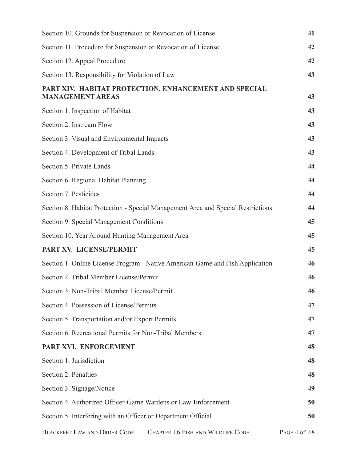| Section 10. Grounds for Suspension or Revocation of License                      | 41           |
|----------------------------------------------------------------------------------|--------------|
| Section 11. Procedure for Suspension or Revocation of License                    | 42           |
| Section 12. Appeal Procedure                                                     | 42           |
| Section 13. Responsibility for Violation of Law                                  | 43           |
| PART XIV. HABITAT PROTECTION, ENHANCEMENT AND SPECIAL<br><b>MANAGEMENT AREAS</b> | 43           |
| Section 1. Inspection of Habitat                                                 | 43           |
| Section 2. Instream Flow                                                         | 43           |
| Section 3. Visual and Environmental Impacts                                      | 43           |
| Section 4. Development of Tribal Lands                                           | 43           |
| Section 5. Private Lands                                                         | 44           |
| Section 6. Regional Habitat Planning                                             | 44           |
| Section 7. Pesticides                                                            | 44           |
| Section 8. Habitat Protection - Special Management Area and Special Restrictions | 44           |
| Section 9. Special Management Conditions                                         | 45           |
| Section 10. Year Around Hunting Management Area                                  | 45           |
| PART XV. LICENSE/PERMIT                                                          | 45           |
| Section 1. Online License Program - Native American Game and Fish Application    | 46           |
| Section 2. Tribal Member License/Permit                                          | 46           |
| Section 3. Non-Tribal Member License/Permit                                      | 46           |
| Section 4. Possession of License/Permits                                         | 47           |
| Section 5. Transportation and/or Export Permits                                  | 47           |
| Section 6. Recreational Permits for Non-Tribal Members                           | 47           |
| PART XVI. ENFORCEMENT                                                            | 48           |
| Section 1. Jurisdiction                                                          | 48           |
| Section 2. Penalties                                                             | 48           |
| Section 3. Signage/Notice                                                        | 49           |
| Section 4. Authorized Officer-Game Wardens or Law Enforcement                    | 50           |
| Section 5. Interfering with an Officer or Department Official                    | 50           |
| <b>BLACKFEET LAW AND ORDER CODE</b><br>CHAPTER 16 FISH AND WILDLIFE CODE         | PAGE 4 of 68 |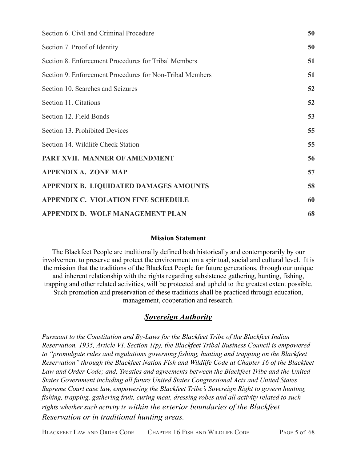| Section 6. Civil and Criminal Procedure                  | 50 |
|----------------------------------------------------------|----|
| Section 7. Proof of Identity                             | 50 |
| Section 8. Enforcement Procedures for Tribal Members     | 51 |
| Section 9. Enforcement Procedures for Non-Tribal Members | 51 |
| Section 10. Searches and Seizures                        | 52 |
| Section 11. Citations                                    | 52 |
| Section 12. Field Bonds                                  | 53 |
| Section 13. Prohibited Devices                           | 55 |
| Section 14. Wildlife Check Station                       | 55 |
| PART XVII. MANNER OF AMENDMENT                           | 56 |
| <b>APPENDIX A. ZONE MAP</b>                              | 57 |
| APPENDIX B. LIQUIDATED DAMAGES AMOUNTS                   | 58 |
| <b>APPENDIX C. VIOLATION FINE SCHEDULE</b>               | 60 |
| APPENDIX D. WOLF MANAGEMENT PLAN                         | 68 |

### **Mission Statement**

The Blackfeet People are traditionally defined both historically and contemporarily by our involvement to preserve and protect the environment on a spiritual, social and cultural level. It is the mission that the traditions of the Blackfeet People for future generations, through our unique and inherent relationship with the rights regarding subsistence gathering, hunting, fishing, trapping and other related activities, will be protected and upheld to the greatest extent possible. Such promotion and preservation of these traditions shall be practiced through education, management, cooperation and research.

## *Sovereign Authority*

*Pursuant to the Constitution and By-Laws for the Blackfeet Tribe of the Blackfeet Indian Reservation, 1935, Article VI, Section 1(p), the Blackfeet Tribal Business Council is empowered to "promulgate rules and regulations governing fishing, hunting and trapping on the Blackfeet Reservation" through the Blackfeet Nation Fish and Wildlife Code at Chapter 16 of the Blackfeet Law and Order Code; and, Treaties and agreements between the Blackfeet Tribe and the United States Government including all future United States Congressional Acts and United States Supreme Court case law, empowering the Blackfeet Tribe's Sovereign Right to govern hunting, fishing, trapping, gathering fruit, curing meat, dressing robes and all activity related to such rights whether such activity is within the exterior boundaries of the Blackfeet Reservation or in traditional hunting areas.*

BLACKFEET LAW AND ORDER CODE CHAPTER 16 FISH AND WILDLIFE CODE PAGE 5 of 68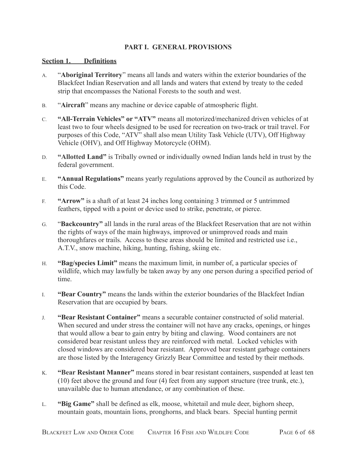## **PART I. GENERAL PROVISIONS**

#### <span id="page-5-1"></span><span id="page-5-0"></span>**Section 1. Definitions**

- A. "**Aboriginal Territory**" means all lands and waters within the exterior boundaries of the Blackfeet Indian Reservation and all lands and waters that extend by treaty to the ceded strip that encompasses the National Forests to the south and west.
- B. "**Aircraft**" means any machine or device capable of atmospheric flight.
- C. **"All-Terrain Vehicles" or "ATV"** means all motorized/mechanized driven vehicles of at least two to four wheels designed to be used for recreation on two-track or trail travel. For purposes of this Code, "ATV" shall also mean Utility Task Vehicle (UTV), Off Highway Vehicle (OHV), and Off Highway Motorcycle (OHM).
- D. **"Allotted Land"** is Tribally owned or individually owned Indian lands held in trust by the federal government.
- E. **"Annual Regulations"** means yearly regulations approved by the Council as authorized by this Code.
- F. **"Arrow"** is a shaft of at least 24 inches long containing 3 trimmed or 5 untrimmed feathers, tipped with a point or device used to strike, penetrate, or pierce.
- G. "**Backcountry"** all lands in the rural areas of the Blackfeet Reservation that are not within the rights of ways of the main highways, improved or unimproved roads and main thoroughfares or trails. Access to these areas should be limited and restricted use i.e., A.T.V., snow machine, hiking, hunting, fishing, skiing etc.
- H. **"Bag/species Limit"** means the maximum limit, in number of, a particular species of wildlife, which may lawfully be taken away by any one person during a specified period of time.
- I. **"Bear Country"** means the lands within the exterior boundaries of the Blackfeet Indian Reservation that are occupied by bears.
- J. **"Bear Resistant Container"** means a securable container constructed of solid material. When secured and under stress the container will not have any cracks, openings, or hinges that would allow a bear to gain entry by biting and clawing. Wood containers are not considered bear resistant unless they are reinforced with metal. Locked vehicles with closed windows are considered bear resistant. Approved bear resistant garbage containers are those listed by the Interagency Grizzly Bear Committee and tested by their methods.
- K. **"Bear Resistant Manner"** means stored in bear resistant containers, suspended at least ten (10) feet above the ground and four (4) feet from any support structure (tree trunk, etc.), unavailable due to human attendance, or any combination of these.
- L. **"Big Game"** shall be defined as elk, moose, whitetail and mule deer, bighorn sheep, mountain goats, mountain lions, pronghorns, and black bears. Special hunting permit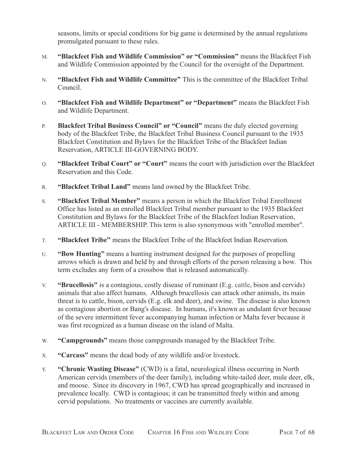seasons, limits or special conditions for big game is determined by the annual regulations promulgated pursuant to these rules.

- M. **"Blackfeet Fish and Wildlife Commission" or "Commission"** means the Blackfeet Fish and Wildlife Commission appointed by the Council for the oversight of the Department.
- N. **"Blackfeet Fish and Wildlife Committee"** This is the committee of the Blackfeet Tribal Council.
- O. **"Blackfeet Fish and Wildlife Department" or "Department"** means the Blackfeet Fish and Wildlife Department.
- P. **Blackfeet Tribal Business Council" or "Council"** means the duly elected governing body of the Blackfeet Tribe, the Blackfeet Tribal Business Council pursuant to the 1935 Blackfeet Constitution and Bylaws for the Blackfeet Tribe of the Blackfeet Indian Reservation, ARTICLE III-GOVERNING BODY.
- Q. **"Blackfeet Tribal Court" or "Court"** means the court with jurisdiction over the Blackfeet Reservation and this Code.
- R. **"Blackfeet Tribal Land"** means land owned by the Blackfeet Tribe.
- S. **"Blackfeet Tribal Member"** means a person in which the Blackfeet Tribal Enrollment Office has listed as an enrolled Blackfeet Tribal member pursuant to the 1935 Blackfeet Constitution and Bylaws for the Blackfeet Tribe of the Blackfeet Indian Reservation, ARTICLE III - MEMBERSHIP. This term is also synonymous with "enrolled member".
- T. **"Blackfeet Tribe"** means the Blackfeet Tribe of the Blackfeet Indian Reservation.
- U. **"Bow Hunting"** means a hunting instrument designed for the purposes of propelling arrows which is drawn and held by and through efforts of the person releasing a bow. This term excludes any form of a crossbow that is released automatically.
- V. **"Brucellosis"** is a contagious, costly disease of ruminant (E.g. cattle, bison and cervids) animals that also affect humans. Although brucellosis can attack other animals, its main threat is to cattle, bison, cervids (E.g. elk and deer), and swine. The disease is also known as contagious abortion or Bang's disease. In humans, it's known as undulant fever because of the severe intermittent fever accompanying human infection or Malta fever because it was first recognized as a human disease on the island of Malta.
- W. **"Campgrounds"** means those campgrounds managed by the Blackfeet Tribe.
- X. **"Carcass"** means the dead body of any wildlife and/or livestock.
- Y. **"Chronic Wasting Disease"** (CWD) is a fatal, neurological illness occurring in North American cervids (members of the deer family), including white-tailed deer, mule deer, elk, and moose. Since its discovery in 1967, CWD has spread geographically and increased in prevalence locally. CWD is contagious; it can be transmitted freely within and among cervid populations. No treatments or vaccines are currently available.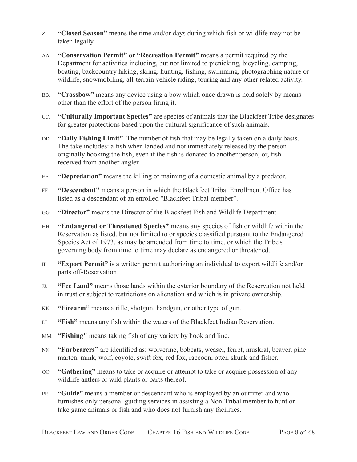- Z. **"Closed Season"** means the time and/or days during which fish or wildlife may not be taken legally.
- AA. **"Conservation Permit" or "Recreation Permit"** means a permit required by the Department for activities including, but not limited to picnicking, bicycling, camping, boating, backcountry hiking, skiing, hunting, fishing, swimming, photographing nature or wildlife, snowmobiling, all-terrain vehicle riding, touring and any other related activity.
- BB. **"Crossbow"** means any device using a bow which once drawn is held solely by means other than the effort of the person firing it.
- CC. **"Culturally Important Species"** are species of animals that the Blackfeet Tribe designates for greater protections based upon the cultural significance of such animals.
- DD. **"Daily Fishing Limit"** The number of fish that may be legally taken on a daily basis. The take includes: a fish when landed and not immediately released by the person originally hooking the fish, even if the fish is donated to another person; or, fish received from another angler.
- EE. **"Depredation"** means the killing or maiming of a domestic animal by a predator.
- FF. **"Descendant"** means a person in which the Blackfeet Tribal Enrollment Office has listed as a descendant of an enrolled "Blackfeet Tribal member".
- GG. **"Director"** means the Director of the Blackfeet Fish and Wildlife Department.
- HH. **"Endangered or Threatened Species"** means any species of fish or wildlife within the Reservation as listed, but not limited to or species classified pursuant to the Endangered Species Act of 1973, as may be amended from time to time, or which the Tribe's governing body from time to time may declare as endangered or threatened.
- II. **"Export Permit"** is a written permit authorizing an individual to export wildlife and/or parts off-Reservation.
- JJ. **"Fee Land"** means those lands within the exterior boundary of the Reservation not held in trust or subject to restrictions on alienation and which is in private ownership.
- KK. **"Firearm"** means a rifle, shotgun, handgun, or other type of gun.
- LL. **"Fish"** means any fish within the waters of the Blackfeet Indian Reservation.
- MM. **"Fishing"** means taking fish of any variety by hook and line.
- NN. **"Furbearers"** are identified as: wolverine, bobcats, weasel, ferret, muskrat, beaver, pine marten, mink, wolf, coyote, swift fox, red fox, raccoon, otter, skunk and fisher.
- OO. **"Gathering"** means to take or acquire or attempt to take or acquire possession of any wildlife antlers or wild plants or parts thereof.
- PP. **"Guide"** means a member or descendant who is employed by an outfitter and who furnishes only personal guiding services in assisting a Non-Tribal member to hunt or take game animals or fish and who does not furnish any facilities.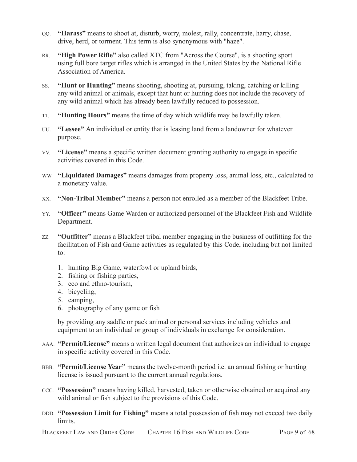- QQ. **"Harass"** means to shoot at, disturb, worry, molest, rally, concentrate, harry, chase, drive, herd, or torment. This term is also synonymous with "haze".
- RR. **"High Power Rifle"** also called XTC from "Across the Course", is a shooting sport using full bore target rifles which is arranged in the United States by the National Rifle Association of America.
- SS. **"Hunt or Hunting"** means shooting, shooting at, pursuing, taking, catching or killing any wild animal or animals, except that hunt or hunting does not include the recovery of any wild animal which has already been lawfully reduced to possession.
- TT. **"Hunting Hours"** means the time of day which wildlife may be lawfully taken.
- UU. **"Lessee"** An individual or entity that is leasing land from a landowner for whatever purpose.
- VV. **"License"** means a specific written document granting authority to engage in specific activities covered in this Code.
- WW. **"Liquidated Damages"** means damages from property loss, animal loss, etc., calculated to a monetary value.
- XX. **"Non-Tribal Member"** means a person not enrolled as a member of the Blackfeet Tribe.
- YY. **"Officer"** means Game Warden or authorized personnel of the Blackfeet Fish and Wildlife Department.
- ZZ. **"Outfitter"** means a Blackfeet tribal member engaging in the business of outfitting for the facilitation of Fish and Game activities as regulated by this Code, including but not limited to:
	- 1. hunting Big Game, waterfowl or upland birds,
	- 2. fishing or fishing parties,
	- 3. eco and ethno-tourism,
	- 4. bicycling,
	- 5. camping,
	- 6. photography of any game or fish

by providing any saddle or pack animal or personal services including vehicles and equipment to an individual or group of individuals in exchange for consideration.

- AAA. **"Permit/License"** means a written legal document that authorizes an individual to engage in specific activity covered in this Code.
- BBB. **"Permit/License Year"** means the twelve-month period i.e. an annual fishing or hunting license is issued pursuant to the current annual regulations.
- CCC. **"Possession"** means having killed, harvested, taken or otherwise obtained or acquired any wild animal or fish subject to the provisions of this Code.
- DDD. **"Possession Limit for Fishing"** means a total possession of fish may not exceed two daily limits.

BLACKFEET LAW AND ORDER CODE CHAPTER 16 FISH AND WILDLIFE CODE PAGE 9 of 68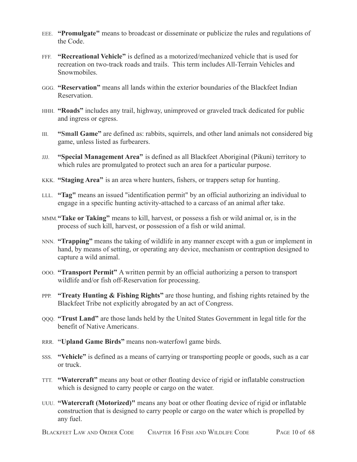- EEE. **"Promulgate"** means to broadcast or disseminate or publicize the rules and regulations of the Code.
- FFF. **"Recreational Vehicle"** is defined as a motorized/mechanized vehicle that is used for recreation on two-track roads and trails. This term includes All-Terrain Vehicles and **Snowmobiles**
- GGG. **"Reservation"** means all lands within the exterior boundaries of the Blackfeet Indian Reservation.
- HHH. **"Roads"** includes any trail, highway, unimproved or graveled track dedicated for public and ingress or egress.
- III. **"Small Game"** are defined as: rabbits, squirrels, and other land animals not considered big game, unless listed as furbearers.
- JJJ. **"Special Management Area"** is defined as all Blackfeet Aboriginal (Pikuni) territory to which rules are promulgated to protect such an area for a particular purpose.
- KKK. **"Staging Area"** is an area where hunters, fishers, or trappers setup for hunting.
- LLL. **"Tag"** means an issued "identification permit" by an official authorizing an individual to engage in a specific hunting activity-attached to a carcass of an animal after take.
- MMM.**"Take or Taking"** means to kill, harvest, or possess a fish or wild animal or, is in the process of such kill, harvest, or possession of a fish or wild animal.
- NNN. **"Trapping"** means the taking of wildlife in any manner except with a gun or implement in hand, by means of setting, or operating any device, mechanism or contraption designed to capture a wild animal.
- OOO. **"Transport Permit"** A written permit by an official authorizing a person to transport wildlife and/or fish off-Reservation for processing.
- PPP. **"Treaty Hunting & Fishing Rights"** are those hunting, and fishing rights retained by the Blackfeet Tribe not explicitly abrogated by an act of Congress.
- QQQ. **"Trust Land"** are those lands held by the United States Government in legal title for the benefit of Native Americans.
- RRR. **"Upland Game Birds"** means non-waterfowl game birds.
- SSS. **"Vehicle"** is defined as a means of carrying or transporting people or goods, such as a car or truck.
- TTT. **"Watercraft"** means any boat or other floating device of rigid or inflatable construction which is designed to carry people or cargo on the water.
- UUU. **"Watercraft (Motorized)"** means any boat or other floating device of rigid or inflatable construction that is designed to carry people or cargo on the water which is propelled by any fuel.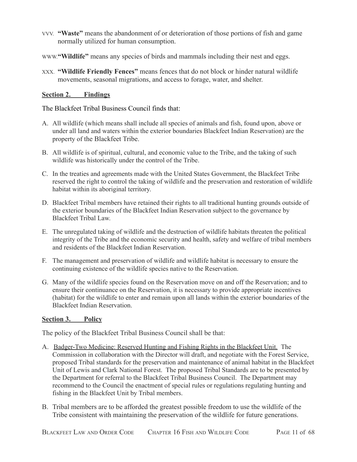- VVV. **"Waste"** means the abandonment of or deterioration of those portions of fish and game normally utilized for human consumption.
- WWW.**"Wildlife"** means any species of birds and mammals including their nest and eggs.
- XXX. **"Wildlife Friendly Fences"** means fences that do not block or hinder natural wildlife movements, seasonal migrations, and access to forage, water, and shelter.

## <span id="page-10-0"></span>**Section 2. Findings**

The Blackfeet Tribal Business Council finds that:

- A. All wildlife (which means shall include all species of animals and fish, found upon, above or under all land and waters within the exterior boundaries Blackfeet Indian Reservation) are the property of the Blackfeet Tribe.
- B. All wildlife is of spiritual, cultural, and economic value to the Tribe, and the taking of such wildlife was historically under the control of the Tribe.
- C. In the treaties and agreements made with the United States Government, the Blackfeet Tribe reserved the right to control the taking of wildlife and the preservation and restoration of wildlife habitat within its aboriginal territory.
- D. Blackfeet Tribal members have retained their rights to all traditional hunting grounds outside of the exterior boundaries of the Blackfeet Indian Reservation subject to the governance by Blackfeet Tribal Law.
- E. The unregulated taking of wildlife and the destruction of wildlife habitats threaten the political integrity of the Tribe and the economic security and health, safety and welfare of tribal members and residents of the Blackfeet Indian Reservation.
- F. The management and preservation of wildlife and wildlife habitat is necessary to ensure the continuing existence of the wildlife species native to the Reservation.
- G. Many of the wildlife species found on the Reservation move on and off the Reservation; and to ensure their continuance on the Reservation, it is necessary to provide appropriate incentives (habitat) for the wildlife to enter and remain upon all lands within the exterior boundaries of the Blackfeet Indian Reservation.

### <span id="page-10-1"></span>**Section 3. Policy**

The policy of the Blackfeet Tribal Business Council shall be that:

- A. Badger-Two Medicine: Reserved Hunting and Fishing Rights in the Blackfeet Unit. The Commission in collaboration with the Director will draft, and negotiate with the Forest Service, proposed Tribal standards for the preservation and maintenance of animal habitat in the Blackfeet Unit of Lewis and Clark National Forest. The proposed Tribal Standards are to be presented by the Department for referral to the Blackfeet Tribal Business Council. The Department may recommend to the Council the enactment of special rules or regulations regulating hunting and fishing in the Blackfeet Unit by Tribal members.
- B. Tribal members are to be afforded the greatest possible freedom to use the wildlife of the Tribe consistent with maintaining the preservation of the wildlife for future generations.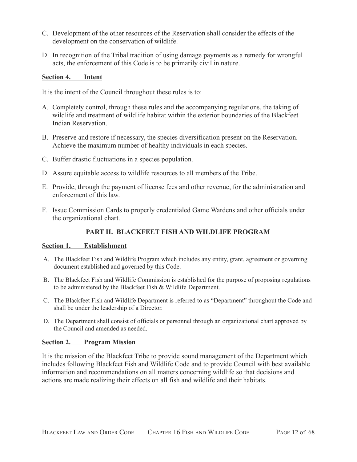- C. Development of the other resources of the Reservation shall consider the effects of the development on the conservation of wildlife.
- D. In recognition of the Tribal tradition of using damage payments as a remedy for wrongful acts, the enforcement of this Code is to be primarily civil in nature.

#### <span id="page-11-0"></span>**Section 4. Intent**

It is the intent of the Council throughout these rules is to:

- A. Completely control, through these rules and the accompanying regulations, the taking of wildlife and treatment of wildlife habitat within the exterior boundaries of the Blackfeet Indian Reservation.
- B. Preserve and restore if necessary, the species diversification present on the Reservation. Achieve the maximum number of healthy individuals in each species.
- C. Buffer drastic fluctuations in a species population.
- D. Assure equitable access to wildlife resources to all members of the Tribe.
- E. Provide, through the payment of license fees and other revenue, for the administration and enforcement of this law.
- F. Issue Commission Cards to properly credentialed Game Wardens and other officials under the organizational chart.

## **PART II. BLACKFEET FISH AND WILDLIFE PROGRAM**

#### <span id="page-11-2"></span><span id="page-11-1"></span>**Section 1. Establishment**

- A. The Blackfeet Fish and Wildlife Program which includes any entity, grant, agreement or governing document established and governed by this Code.
- B. The Blackfeet Fish and Wildlife Commission is established for the purpose of proposing regulations to be administered by the Blackfeet Fish & Wildlife Department.
- C. The Blackfeet Fish and Wildlife Department is referred to as "Department" throughout the Code and shall be under the leadership of a Director.
- D. The Department shall consist of officials or personnel through an organizational chart approved by the Council and amended as needed.

### <span id="page-11-3"></span>**Section 2. Program Mission**

It is the mission of the Blackfeet Tribe to provide sound management of the Department which includes following Blackfeet Fish and Wildlife Code and to provide Council with best available information and recommendations on all matters concerning wildlife so that decisions and actions are made realizing their effects on all fish and wildlife and their habitats.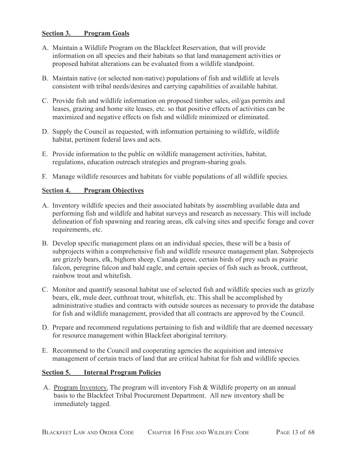### <span id="page-12-0"></span>**Section 3. Program Goals**

- A. Maintain a Wildlife Program on the Blackfeet Reservation, that will provide information on all species and their habitats so that land management activities or proposed habitat alterations can be evaluated from a wildlife standpoint.
- B. Maintain native (or selected non-native) populations of fish and wildlife at levels consistent with tribal needs/desires and carrying capabilities of available habitat.
- C. Provide fish and wildlife information on proposed timber sales, oil/gas permits and leases, grazing and home site leases, etc. so that positive effects of activities can be maximized and negative effects on fish and wildlife minimized or eliminated.
- D. Supply the Council as requested, with information pertaining to wildlife, wildlife habitat, pertinent federal laws and acts.
- E. Provide information to the public on wildlife management activities, habitat, regulations, education outreach strategies and program-sharing goals.
- F. Manage wildlife resources and habitats for viable populations of all wildlife species.

## <span id="page-12-1"></span>**Section 4. Program Objectives**

- A. Inventory wildlife species and their associated habitats by assembling available data and performing fish and wildlife and habitat surveys and research as necessary. This will include delineation of fish spawning and rearing areas, elk calving sites and specific forage and cover requirements, etc.
- B. Develop specific management plans on an individual species, these will be a basis of subprojects within a comprehensive fish and wildlife resource management plan. Subprojects are grizzly bears, elk, bighorn sheep, Canada geese, certain birds of prey such as prairie falcon, peregrine falcon and bald eagle, and certain species of fish such as brook, cutthroat, rainbow trout and whitefish.
- C. Monitor and quantify seasonal habitat use of selected fish and wildlife species such as grizzly bears, elk, mule deer, cutthroat trout, whitefish, etc. This shall be accomplished by administrative studies and contracts with outside sources as necessary to provide the database for fish and wildlife management, provided that all contracts are approved by the Council.
- D. Prepare and recommend regulations pertaining to fish and wildlife that are deemed necessary for resource management within Blackfeet aboriginal territory.
- E. Recommend to the Council and cooperating agencies the acquisition and intensive management of certain tracts of land that are critical habitat for fish and wildlife species.

### <span id="page-12-2"></span>**Section 5. Internal Program Policies**

A. Program Inventory. The program will inventory Fish & Wildlife property on an annual basis to the Blackfeet Tribal Procurement Department. All new inventory shall be immediately tagged.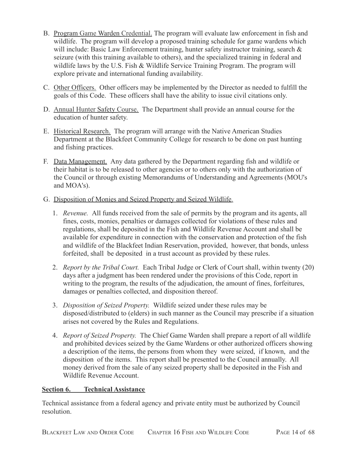- B. Program Game Warden Credential. The program will evaluate law enforcement in fish and wildlife. The program will develop a proposed training schedule for game wardens which will include: Basic Law Enforcement training, hunter safety instructor training, search & seizure (with this training available to others), and the specialized training in federal and wildlife laws by the U.S. Fish & Wildlife Service Training Program. The program will explore private and international funding availability.
- C. Other Officers. Other officers may be implemented by the Director as needed to fulfill the goals of this Code. These officers shall have the ability to issue civil citations only.
- D. Annual Hunter Safety Course. The Department shall provide an annual course for the education of hunter safety.
- E. Historical Research. The program will arrange with the Native American Studies Department at the Blackfeet Community College for research to be done on past hunting and fishing practices.
- F. Data Management. Any data gathered by the Department regarding fish and wildlife or their habitat is to be released to other agencies or to others only with the authorization of the Council or through existing Memorandums of Understanding and Agreements (MOU's and MOA's).
- G. Disposition of Monies and Seized Property and Seized Wildlife.
	- 1. *Revenue.* All funds received from the sale of permits by the program and its agents, all fines, costs, monies, penalties or damages collected for violations of these rules and regulations, shall be deposited in the Fish and Wildlife Revenue Account and shall be available for expenditure in connection with the conservation and protection of the fish and wildlife of the Blackfeet Indian Reservation, provided, however, that bonds, unless forfeited, shall be deposited in a trust account as provided by these rules.
	- 2. *Report by the Tribal Court.* Each Tribal Judge or Clerk of Court shall, within twenty (20) days after a judgment has been rendered under the provisions of this Code, report in writing to the program, the results of the adjudication, the amount of fines, forfeitures, damages or penalties collected, and disposition thereof.
	- 3. *Disposition of Seized Property.* Wildlife seized under these rules may be disposed/distributed to (elders) in such manner as the Council may prescribe if a situation arises not covered by the Rules and Regulations.
	- 4. *Report of Seized Property.* The Chief Game Warden shall prepare a report of all wildlife and prohibited devices seized by the Game Wardens or other authorized officers showing a description of the items, the persons from whom they were seized, if known, and the disposition of the items. This report shall be presented to the Council annually. All money derived from the sale of any seized property shall be deposited in the Fish and Wildlife Revenue Account.

## <span id="page-13-0"></span>**Section 6. Technical Assistance**

Technical assistance from a federal agency and private entity must be authorized by Council resolution.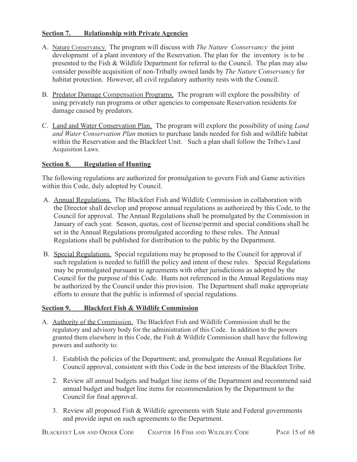## <span id="page-14-0"></span>**Section 7. Relationship with Private Agencies**

- A. Nature Conservancy. The program will discuss with *The Nature Conservancy* the joint development of a plant inventory of the Reservation. The plan for the inventory is to be presented to the Fish & Wildlife Department for referral to the Council. The plan may also consider possible acquisition of non-Tribally owned lands by *The Nature Conservancy* for habitat protection. However, all civil regulatory authority rests with the Council.
- B. Predator Damage Compensation Programs. The program will explore the possibility of using privately run programs or other agencies to compensate Reservation residents for damage caused by predators.
- C. Land and Water Conservation Plan. The program will explore the possibility of using *Land and Water Conservation Plan* monies to purchase lands needed for fish and wildlife habitat within the Reservation and the Blackfeet Unit. Such a plan shall follow the Tribe's Land Acquisition Laws.

### <span id="page-14-1"></span>**Section 8. Regulation of Hunting**

The following regulations are authorized for promulgation to govern Fish and Game activities within this Code, duly adopted by Council.

- A. Annual Regulations. The Blackfeet Fish and Wildlife Commission in collaboration with the Director shall develop and propose annual regulations as authorized by this Code, to the Council for approval. The Annual Regulations shall be promulgated by the Commission in January of each year. Season, quotas, cost of license/permit and special conditions shall be set in the Annual Regulations promulgated according to these rules. The Annual Regulations shall be published for distribution to the public by the Department.
- B. Special Regulations. Special regulations may be proposed to the Council for approval if such regulation is needed to fulfill the policy and intent of these rules. Special Regulations may be promulgated pursuant to agreements with other jurisdictions as adopted by the Council for the purpose of this Code. Hunts not referenced in the Annual Regulations may be authorized by the Council under this provision. The Department shall make appropriate efforts to ensure that the public is informed of special regulations.

### <span id="page-14-2"></span>**Section 9. Blackfeet Fish & Wildlife Commission**

- A. Authority of the Commission. The Blackfeet Fish and Wildlife Commission shall be the regulatory and advisory body for the administration of this Code. In addition to the powers granted them elsewhere in this Code, the Fish  $\&$  Wildlife Commission shall have the following powers and authority to:
	- 1. Establish the policies of the Department; and, promulgate the Annual Regulations for Council approval, consistent with this Code in the best interests of the Blackfeet Tribe.
	- 2. Review all annual budgets and budget line items of the Department and recommend said annual budget and budget line items for recommendation by the Department to the Council for final approval.
	- 3. Review all proposed Fish & Wildlife agreements with State and Federal governments and provide input on such agreements to the Department.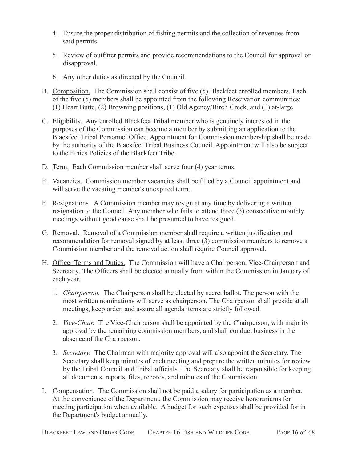- 4. Ensure the proper distribution of fishing permits and the collection of revenues from said permits.
- 5. Review of outfitter permits and provide recommendations to the Council for approval or disapproval.
- 6. Any other duties as directed by the Council.
- B. Composition. The Commission shall consist of five (5) Blackfeet enrolled members. Each of the five (5) members shall be appointed from the following Reservation communities: (1) Heart Butte, (2) Browning positions, (1) Old Agency/Birch Creek, and (1) at-large.
- C. Eligibility. Any enrolled Blackfeet Tribal member who is genuinely interested in the purposes of the Commission can become a member by submitting an application to the Blackfeet Tribal Personnel Office. Appointment for Commission membership shall be made by the authority of the Blackfeet Tribal Business Council. Appointment will also be subject to the Ethics Policies of the Blackfeet Tribe.
- D. Term. Each Commission member shall serve four (4) year terms.
- E. Vacancies. Commission member vacancies shall be filled by a Council appointment and will serve the vacating member's unexpired term.
- F. Resignations. A Commission member may resign at any time by delivering a written resignation to the Council. Any member who fails to attend three (3) consecutive monthly meetings without good cause shall be presumed to have resigned.
- G. Removal. Removal of a Commission member shall require a written justification and recommendation for removal signed by at least three (3) commission members to remove a Commission member and the removal action shall require Council approval.
- H. Officer Terms and Duties. The Commission will have a Chairperson, Vice-Chairperson and Secretary. The Officers shall be elected annually from within the Commission in January of each year.
	- 1. *Chairperson.* The Chairperson shall be elected by secret ballot. The person with the most written nominations will serve as chairperson. The Chairperson shall preside at all meetings, keep order, and assure all agenda items are strictly followed.
	- 2. *Vice-Chair.* The Vice-Chairperson shall be appointed by the Chairperson, with majority approval by the remaining commission members, and shall conduct business in the absence of the Chairperson.
	- 3. *Secretary.* The Chairman with majority approval will also appoint the Secretary. The Secretary shall keep minutes of each meeting and prepare the written minutes for review by the Tribal Council and Tribal officials. The Secretary shall be responsible for keeping all documents, reports, files, records, and minutes of the Commission.
- I. Compensation. The Commission shall not be paid a salary for participation as a member. At the convenience of the Department, the Commission may receive honorariums for meeting participation when available. A budget for such expenses shall be provided for in the Department's budget annually.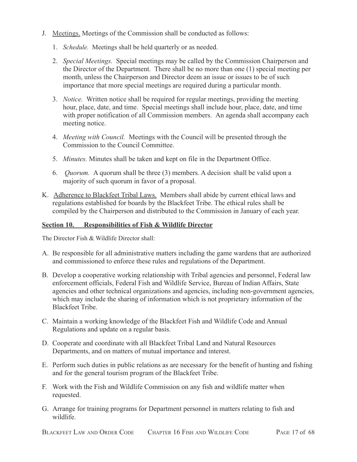- J. Meetings. Meetings of the Commission shall be conducted as follows:
	- 1. *Schedule.* Meetings shall be held quarterly or as needed.
	- 2. *Special Meetings.* Special meetings may be called by the Commission Chairperson and the Director of the Department. There shall be no more than one (1) special meeting per month, unless the Chairperson and Director deem an issue or issues to be of such importance that more special meetings are required during a particular month.
	- 3. *Notice.* Written notice shall be required for regular meetings, providing the meeting hour, place, date, and time. Special meetings shall include hour, place, date, and time with proper notification of all Commission members. An agenda shall accompany each meeting notice.
	- 4. *Meeting with Council.* Meetings with the Council will be presented through the Commission to the Council Committee.
	- 5. *Minutes.* Minutes shall be taken and kept on file in the Department Office.
	- 6. *Quorum.* A quorum shall be three (3) members. A decision shall be valid upon a majority of such quorum in favor of a proposal.
- K. Adherence to Blackfeet Tribal Laws. Members shall abide by current ethical laws and regulations established for boards by the Blackfeet Tribe. The ethical rules shall be compiled by the Chairperson and distributed to the Commission in January of each year.

#### <span id="page-16-0"></span>**Section 10. Responsibilities of Fish & Wildlife Director**

The Director Fish & Wildlife Director shall:

- A. Be responsible for all administrative matters including the game wardens that are authorized and commissioned to enforce these rules and regulations of the Department.
- B. Develop a cooperative working relationship with Tribal agencies and personnel, Federal law enforcement officials, Federal Fish and Wildlife Service, Bureau of Indian Affairs, State agencies and other technical organizations and agencies, including non-government agencies, which may include the sharing of information which is not proprietary information of the Blackfeet Tribe.
- C. Maintain a working knowledge of the Blackfeet Fish and Wildlife Code and Annual Regulations and update on a regular basis.
- D. Cooperate and coordinate with all Blackfeet Tribal Land and Natural Resources Departments, and on matters of mutual importance and interest.
- E. Perform such duties in public relations as are necessary for the benefit of hunting and fishing and for the general tourism program of the Blackfeet Tribe.
- F. Work with the Fish and Wildlife Commission on any fish and wildlife matter when requested.
- G. Arrange for training programs for Department personnel in matters relating to fish and wildlife.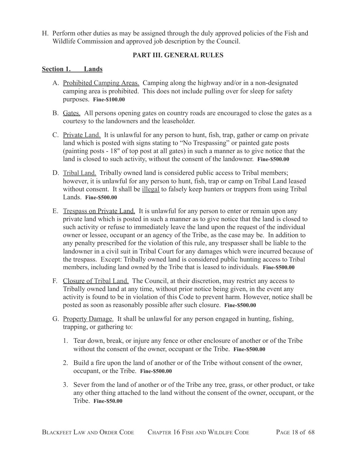H. Perform other duties as may be assigned through the duly approved policies of the Fish and Wildlife Commission and approved job description by the Council.

## **PART III. GENERAL RULES**

## <span id="page-17-1"></span><span id="page-17-0"></span>**Section 1. Lands**

- A. Prohibited Camping Areas. Camping along the highway and/or in a non-designated camping area is prohibited. This does not include pulling over for sleep for safety purposes. **Fine-\$100.00**
- B. Gates. All persons opening gates on country roads are encouraged to close the gates as a courtesy to the landowners and the leaseholder.
- C. Private Land. It is unlawful for any person to hunt, fish, trap, gather or camp on private land which is posted with signs stating to "No Trespassing" or painted gate posts (painting posts - 18" of top post at all gates) in such a manner as to give notice that the land is closed to such activity, without the consent of the landowner. **Fine-\$500.00**
- D. Tribal Land. Tribally owned land is considered public access to Tribal members; however, it is unlawful for any person to hunt, fish, trap or camp on Tribal Land leased without consent. It shall be illegal to falsely keep hunters or trappers from using Tribal Lands. **Fine-\$500.00**
- E. Trespass on Private Land. It is unlawful for any person to enter or remain upon any private land which is posted in such a manner as to give notice that the land is closed to such activity or refuse to immediately leave the land upon the request of the individual owner or lessee, occupant or an agency of the Tribe, as the case may be. In addition to any penalty prescribed for the violation of this rule, any trespasser shall be liable to the landowner in a civil suit in Tribal Court for any damages which were incurred because of the trespass. Except: Tribally owned land is considered public hunting access to Tribal members, including land owned by the Tribe that is leased to individuals. **Fine-\$500.00**
- F. Closure of Tribal Land. The Council, at their discretion, may restrict any access to Tribally owned land at any time, without prior notice being given, in the event any activity is found to be in violation of this Code to prevent harm. However, notice shall be posted as soon as reasonably possible after such closure. **Fine-\$500.00**
- G. Property Damage. It shall be unlawful for any person engaged in hunting, fishing, trapping, or gathering to:
	- 1. Tear down, break, or injure any fence or other enclosure of another or of the Tribe without the consent of the owner, occupant or the Tribe. **Fine-\$500.00**
	- 2. Build a fire upon the land of another or of the Tribe without consent of the owner, occupant, or the Tribe. **Fine-\$500.00**
	- 3. Sever from the land of another or of the Tribe any tree, grass, or other product, or take any other thing attached to the land without the consent of the owner, occupant, or the Tribe. **Fine-\$50.00**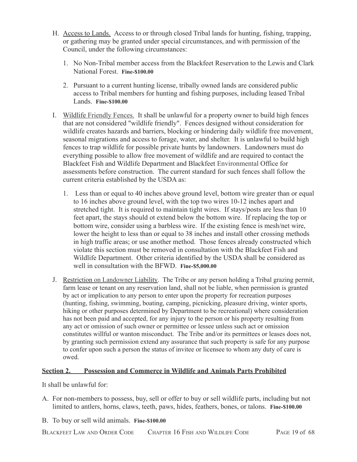- H. Access to Lands. Access to or through closed Tribal lands for hunting, fishing, trapping, or gathering may be granted under special circumstances, and with permission of the Council, under the following circumstances:
	- 1. No Non-Tribal member access from the Blackfeet Reservation to the Lewis and Clark National Forest. **Fine-\$100.00**
	- 2. Pursuant to a current hunting license, tribally owned lands are considered public access to Tribal members for hunting and fishing purposes, including leased Tribal Lands. **Fine-\$100.00**
- I. Wildlife Friendly Fences. It shall be unlawful for a property owner to build high fences that are not considered "wildlife friendly". Fences designed without consideration for wildlife creates hazards and barriers, blocking or hindering daily wildlife free movement, seasonal migrations and access to forage, water, and shelter. It is unlawful to build high fences to trap wildlife for possible private hunts by landowners. Landowners must do everything possible to allow free movement of wildlife and are required to contact the Blackfeet Fish and Wildlife Department and Blackfeet Environmental Office for assessments before construction. The current standard for such fences shall follow the current criteria established by the USDA as:
	- 1. Less than or equal to 40 inches above ground level, bottom wire greater than or equal to 16 inches above ground level, with the top two wires 10-12 inches apart and stretched tight. It is required to maintain tight wires. If stays/posts are less than 10 feet apart, the stays should ot extend below the bottom wire. If replacing the top or bottom wire, consider using a barbless wire. If the existing fence is mesh/net wire, lower the height to less than or equal to 38 inches and install other crossing methods in high traffic areas; or use another method. Those fences already constructed which violate this section must be removed in consultation with the Blackfeet Fish and Wildlife Department. Other criteria identified by the USDA shall be considered as well in consultation with the BFWD. **Fine-\$5,000.00**
- J. Restriction on Landowner Liability. The Tribe or any person holding a Tribal grazing permit, farm lease or tenant on any reservation land, shall not be liable, when permission is granted by act or implication to any person to enter upon the property for recreation purposes (hunting, fishing, swimming, boating, camping, picnicking, pleasure driving, winter sports, hiking or other purposes determined by Department to be recreational) where consideration has not been paid and accepted, for any injury to the person or his property resulting from any act or omission of such owner or permittee or lessee unless such act or omission constitutes willful or wanton misconduct. The Tribe and/or its permittees or leases does not, by granting such permission extend any assurance that such property is safe for any purpose to confer upon such a person the status of invitee or licensee to whom any duty of care is owed.

## <span id="page-18-0"></span>**Section 2. Possession and Commerce in Wildlife and Animals Parts Prohibited**

It shall be unlawful for:

- A. For non-members to possess, buy, sell or offer to buy or sell wildlife parts, including but not limited to antlers, horns, claws, teeth, paws, hides, feathers, bones, or talons. **Fine-\$100.00**
- B. To buy or sell wild animals. **Fine-\$100.00**

BLACKFEET LAW AND ORDER CODE CHAPTER 16 FISH AND WILDLIFE CODE PAGE 19 of 68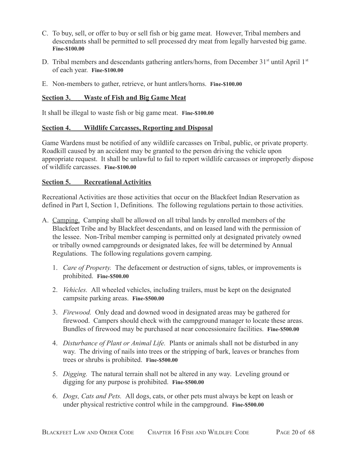- C. To buy, sell, or offer to buy or sell fish or big game meat. However, Tribal members and descendants shall be permitted to sell processed dry meat from legally harvested big game. **Fine-\$100.00**
- D. Tribal members and descendants gathering antlers/horns, from December  $31<sup>st</sup>$  until April  $1<sup>st</sup>$ of each year. **Fine-\$100.00**
- E. Non-members to gather, retrieve, or hunt antlers/horns. **Fine-\$100.00**

## <span id="page-19-0"></span>**Section 3. Waste of Fish and Big Game Meat**

It shall be illegal to waste fish or big game meat. **Fine-\$100.00**

### <span id="page-19-1"></span>**Section 4. Wildlife Carcasses, Reporting and Disposal**

Game Wardens must be notified of any wildlife carcasses on Tribal, public, or private property. Roadkill caused by an accident may be granted to the person driving the vehicle upon appropriate request. It shall be unlawful to fail to report wildlife carcasses or improperly dispose of wildlife carcasses. **Fine-\$100.00**

### <span id="page-19-2"></span>**Section 5. Recreational Activities**

Recreational Activities are those activities that occur on the Blackfeet Indian Reservation as defined in Part I, Section 1, Definitions. The following regulations pertain to those activities.

- A. Camping. Camping shall be allowed on all tribal lands by enrolled members of the Blackfeet Tribe and by Blackfeet descendants, and on leased land with the permission of the lessee. Non-Tribal member camping is permitted only at designated privately owned or tribally owned campgrounds or designated lakes, fee will be determined by Annual Regulations. The following regulations govern camping.
	- 1. *Care of Property.* The defacement or destruction of signs, tables, or improvements is prohibited. **Fine-\$500.00**
	- 2. *Vehicles.* All wheeled vehicles, including trailers, must be kept on the designated campsite parking areas. **Fine-\$500.00**
	- 3. *Firewood.* Only dead and downed wood in designated areas may be gathered for firewood. Campers should check with the campground manager to locate these areas. Bundles of firewood may be purchased at near concessionaire facilities. **Fine-\$500.00**
	- 4. *Disturbance of Plant or Animal Life.* Plants or animals shall not be disturbed in any way. The driving of nails into trees or the stripping of bark, leaves or branches from trees or shrubs is prohibited. **Fine-\$500.00**
	- 5. *Digging.* The natural terrain shall not be altered in any way. Leveling ground or digging for any purpose is prohibited. **Fine-\$500.00**
	- 6. *Dogs, Cats and Pets.* All dogs, cats, or other pets must always be kept on leash or under physical restrictive control while in the campground. **Fine-\$500.00**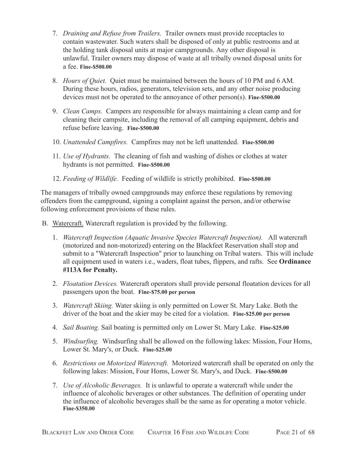- 7. *Draining and Refuse from Trailers.* Trailer owners must provide receptacles to contain wastewater. Such waters shall be disposed of only at public restrooms and at the holding tank disposal units at major campgrounds. Any other disposal is unlawful. Trailer owners may dispose of waste at all tribally owned disposal units for a fee. **Fine-\$500.00**
- 8. *Hours of Quiet.* Quiet must be maintained between the hours of 10 PM and 6 AM. During these hours, radios, generators, television sets, and any other noise producing devices must not be operated to the annoyance of other person(s). **Fine-\$500.00**
- 9. *Clean Camps.* Campers are responsible for always maintaining a clean camp and for cleaning their campsite, including the removal of all camping equipment, debris and refuse before leaving. **Fine-\$500.00**
- 10. *Unattended Campfires.* Campfires may not be left unattended. **Fine-\$500.00**
- 11. *Use of Hydrants.* The cleaning of fish and washing of dishes or clothes at water hydrants is not permitted. **Fine-\$500.00**
- 12. *Feeding of Wildlife.* Feeding of wildlife is strictly prohibited. **Fine-\$500.00**

The managers of tribally owned campgrounds may enforce these regulations by removing offenders from the campground, signing a complaint against the person, and/or otherwise following enforcement provisions of these rules.

- B. Watercraft. Watercraft regulation is provided by the following.
	- 1. *Watercraft Inspection (Aquatic Invasive Species Watercraft Inspection).* All watercraft (motorized and non-motorized) entering on the Blackfeet Reservation shall stop and submit to a "Watercraft Inspection" prior to launching on Tribal waters. This will include all equipment used in waters i.e., waders, float tubes, flippers, and rafts. See **Ordinance #113A for Penalty.**
	- 2. *Floatation Devices.* Watercraft operators shall provide personal floatation devices for all passengers upon the boat. **Fine-\$75.00 per person**
	- 3. *Watercraft Skiing.* Water skiing is only permitted on Lower St. Mary Lake. Both the driver of the boat and the skier may be cited for a violation. **Fine-\$25.00 per person**
	- 4. *Sail Boating.* Sail boating is permitted only on Lower St. Mary Lake. **Fine-\$25.00**
	- 5. *Windsurfing.* Windsurfing shall be allowed on the following lakes: Mission, Four Homs, Lower St. Mary's, or Duck. **Fine-\$25.00**
	- 6. *Restrictions on Motorized Watercraft.* Motorized watercraft shall be operated on only the following lakes: Mission, Four Homs, Lower St. Mary's, and Duck. **Fine-\$500.00**
	- 7. *Use of Alcoholic Beverages.* It is unlawful to operate a watercraft while under the influence of alcoholic beverages or other substances. The definition of operating under the influence of alcoholic beverages shall be the same as for operating a motor vehicle. **Fine-\$350.00**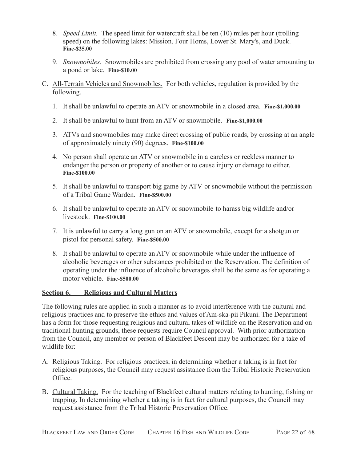- 8. *Speed Limit.* The speed limit for watercraft shall be ten (10) miles per hour (trolling speed) on the following lakes: Mission, Four Homs, Lower St. Mary's, and Duck. **Fine-\$25.00**
- 9. *Snowmobiles.* Snowmobiles are prohibited from crossing any pool of water amounting to a pond or lake. **Fine-\$10.00**
- C. All-Terrain Vehicles and Snowmobiles. For both vehicles, regulation is provided by the following.
	- 1. It shall be unlawful to operate an ATV or snowmobile in a closed area. **Fine-\$1,000.00**
	- 2. It shall be unlawful to hunt from an ATV or snowmobile. **Fine-\$1,000.00**
	- 3. ATVs and snowmobiles may make direct crossing of public roads, by crossing at an angle of approximately ninety (90) degrees. **Fine-\$100.00**
	- 4. No person shall operate an ATV or snowmobile in a careless or reckless manner to endanger the person or property of another or to cause injury or damage to either. **Fine-\$100.00**
	- 5. It shall be unlawful to transport big game by ATV or snowmobile without the permission of a Tribal Game Warden. **Fine-\$500.00**
	- 6. It shall be unlawful to operate an ATV or snowmobile to harass big wildlife and/or livestock. **Fine-\$100.00**
	- 7. It is unlawful to carry a long gun on an ATV or snowmobile, except for a shotgun or pistol for personal safety. **Fine-\$500.00**
	- 8. It shall be unlawful to operate an ATV or snowmobile while under the influence of alcoholic beverages or other substances prohibited on the Reservation. The definition of operating under the influence of alcoholic beverages shall be the same as for operating a motor vehicle. **Fine-\$500.00**

## <span id="page-21-0"></span>**Section 6. Religious and Cultural Matters**

The following rules are applied in such a manner as to avoid interference with the cultural and religious practices and to preserve the ethics and values of Am-ska-pii Pikuni. The Department has a form for those requesting religious and cultural takes of wildlife on the Reservation and on traditional hunting grounds, these requests require Council approval. With prior authorization from the Council, any member or person of Blackfeet Descent may be authorized for a take of wildlife for:

- A. Religious Taking. For religious practices, in determining whether a taking is in fact for religious purposes, the Council may request assistance from the Tribal Historic Preservation Office.
- B. Cultural Taking. For the teaching of Blackfeet cultural matters relating to hunting, fishing or trapping. In determining whether a taking is in fact for cultural purposes, the Council may request assistance from the Tribal Historic Preservation Office.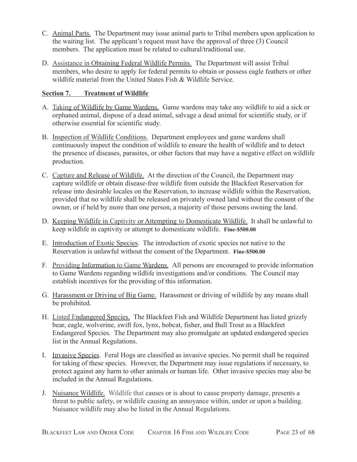- C. Animal Parts. The Department may issue animal parts to Tribal members upon application to the waiting list. The applicant's request must have the approval of three (3) Council members. The application must be related to cultural/traditional use.
- D. Assistance in Obtaining Federal Wildlife Permits. The Department will assist Tribal members, who desire to apply for federal permits to obtain or possess eagle feathers or other wildlife material from the United States Fish & Wildlife Service.

## <span id="page-22-0"></span>**Section 7. Treatment of Wildlife**

- A. Taking of Wildlife by Game Wardens. Game wardens may take any wildlife to aid a sick or orphaned animal, dispose of a dead animal, salvage a dead animal for scientific study, or if otherwise essential for scientific study.
- B. Inspection of Wildlife Conditions. Department employees and game wardens shall continuously inspect the condition of wildlife to ensure the health of wildlife and to detect the presence of diseases, parasites, or other factors that may have a negative effect on wildlife production.
- C. Capture and Release of Wildlife. At the direction of the Council, the Department may capture wildlife or obtain disease-free wildlife from outside the Blackfeet Reservation for release into desirable locales on the Reservation, to increase wildlife within the Reservation, provided that no wildlife shall be released on privately owned land without the consent of the owner, or if held by more than one person, a majority of those persons owning the land.
- D. Keeping Wildlife in Captivity or Attempting to Domesticate Wildlife. It shall be unlawful to keep wildlife in captivity or attempt to domesticate wildlife. **Fine-\$500.00**
- E. Introduction of Exotic Species. The introduction of exotic species not native to the Reservation is unlawful without the consent of the Department. **Fine-\$500.00**
- F. Providing Information to Game Wardens. All persons are encouraged to provide information to Game Wardens regarding wildlife investigations and/or conditions. The Council may establish incentives for the providing of this information.
- G. Harassment or Driving of Big Game. Harassment or driving of wildlife by any means shall be prohibited.
- H. Listed Endangered Species. The Blackfeet Fish and Wildlife Department has listed grizzly bear, eagle, wolverine, swift fox, lynx, bobcat, fisher, and Bull Trout as a Blackfeet Endangered Species. The Department may also promulgate an updated endangered species list in the Annual Regulations.
- I. Invasive Species. Feral Hogs are classified as invasive species. No permit shall be required for taking of these species. However, the Department may issue regulations if necessary, to protect against any harm to other animals or human life. Other invasive species may also be included in the Annual Regulations.
- J. Nuisance Wildlife. [Wildlife that](https://www.lawinsider.com/dictionary/nuisance-wildlife) causes or is about to cause property damage, presents a threat to public safety, or wildlife causing an annoyance within, under or upon a building. Nuisance wildlife may also be listed in the Annual Regulations.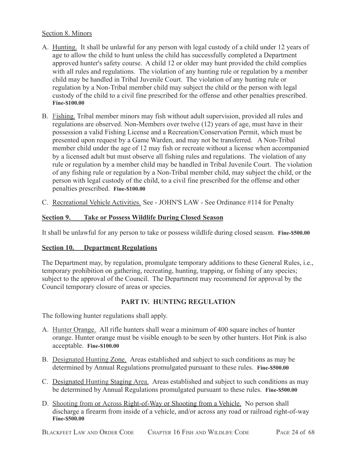### Section 8. Minors

- A. Hunting. It shall be unlawful for any person with legal custody of a child under 12 years of age to allow the child to hunt unless the child has successfully completed a Department approved hunter's safety course. A child 12 or older may hunt provided the child complies with all rules and regulations. The violation of any hunting rule or regulation by a member child may be handled in Tribal Juvenile Court. The violation of any hunting rule or regulation by a Non-Tribal member child may subject the child or the person with legal custody of the child to a civil fine prescribed for the offense and other penalties prescribed. **Fine-\$100.00**
- B. Fishing. Tribal member minors may fish without adult supervision, provided all rules and regulations are observed. Non-Members over twelve (12) years of age, must have in their possession a valid Fishing License and a Recreation/Conservation Permit, which must be presented upon request by a Game Warden, and may not be transferred. A Non-Tribal member child under the age of 12 may fish or recreate without a license when accompanied by a licensed adult but must observe all fishing rules and regulations. The violation of any rule or regulation by a member child may be handled in Tribal Juvenile Court. The violation of any fishing rule or regulation by a Non-Tribal member child, may subject the child, or the person with legal custody of the child, to a civil fine prescribed for the offense and other penalties prescribed. **Fine-\$100.00**
- C. Recreational Vehicle Activities. See JOHN'S LAW See Ordinance #114 for Penalty

### <span id="page-23-0"></span>**Section 9. Take or Possess Wildlife During Closed Season**

It shall be unlawful for any person to take or possess wildlife during closed season. **Fine-\$500.00**

### <span id="page-23-1"></span>**Section 10. Department Regulations**

The Department may, by regulation, promulgate temporary additions to these General Rules, i.e., temporary prohibition on gathering, recreating, hunting, trapping, or fishing of any species; subject to the approval of the Council. The Department may recommend for approval by the Council temporary closure of areas or species.

## **PART IV. HUNTING REGULATION**

<span id="page-23-2"></span>The following hunter regulations shall apply.

- A. Hunter Orange. All rifle hunters shall wear a minimum of 400 square inches of hunter orange. Hunter orange must be visible enough to be seen by other hunters. Hot Pink is also acceptable. **Fine-\$100.00**
- B. Designated Hunting Zone. Areas established and subject to such conditions as may be determined by Annual Regulations promulgated pursuant to these rules. **Fine-\$500.00**
- C. Designated Hunting Staging Area. Areas established and subject to such conditions as may be determined by Annual Regulations promulgated pursuant to these rules. **Fine-\$500.00**
- D. Shooting from or Across Right-of-Way or Shooting from a Vehicle. No person shall discharge a firearm from inside of a vehicle, and/or across any road or railroad right-of-way **Fine-\$500.00**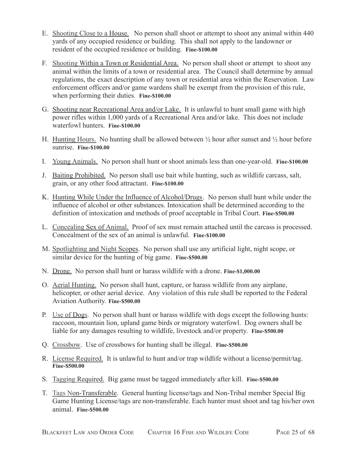- E. Shooting Close to a House. No person shall shoot or attempt to shoot any animal within 440 yards of any occupied residence or building. This shall not apply to the landowner or resident of the occupied residence or building. **Fine-\$100.00**
- F. Shooting Within a Town or Residential Area. No person shall shoot or attempt to shoot any animal within the limits of a town or residential area. The Council shall determine by annual regulations, the exact description of any town or residential area within the Reservation. Law enforcement officers and/or game wardens shall be exempt from the provision of this rule, when performing their duties. **Fine-\$100.00**
- G. Shooting near Recreational Area and/or Lake. It is unlawful to hunt small game with high power rifles within 1,000 yards of a Recreational Area and/or lake. This does not include waterfowl hunters. **Fine-\$100.00**
- H. Hunting Hours. No hunting shall be allowed between  $\frac{1}{2}$  hour after sunset and  $\frac{1}{2}$  hour before sunrise. **Fine-\$100.00**
- I. Young Animals. No person shall hunt or shoot animals less than one-year-old. **Fine-\$100.00**
- J. Baiting Prohibited. No person shall use bait while hunting, such as wildlife carcass, salt, grain, or any other food attractant. **Fine-\$100.00**
- K. Hunting While Under the Influence of Alcohol/Drugs. No person shall hunt while under the influence of alcohol or other substances. Intoxication shall be determined according to the definition of intoxication and methods of proof acceptable in Tribal Court. **Fine-\$500.00**
- L. Concealing Sex of Animal. Proof of sex must remain attached until the carcass is processed. Concealment of the sex of an animal is unlawful. **Fine-\$100.00**
- M. Spotlighting and Night Scopes. No person shall use any artificial light, night scope, or similar device for the hunting of big game. **Fine-\$500.00**
- N. Drone. No person shall hunt or harass wildlife with a drone. **Fine-\$1,000.00**
- O. Aerial Hunting. No person shall hunt, capture, or harass wildlife from any airplane, helicopter, or other aerial device. Any violation of this rule shall be reported to the Federal Aviation Authority. **Fine-\$500.00**
- P. Use of Dogs. No person shall hunt or harass wildlife with dogs except the following hunts: raccoon, mountain lion, upland game birds or migratory waterfowl. Dog owners shall be liable for any damages resulting to wildlife, livestock and/or property. **Fine-\$500.00**
- Q. Crossbow. Use of crossbows for hunting shall be illegal. **Fine-\$500.00**
- R. License Required. It is unlawful to hunt and/or trap wildlife without a license/permit/tag. **Fine-\$500.00**
- S. Tagging Required. Big game must be tagged immediately after kill. **Fine-\$500.00**
- T. Tags Non-Transferable. General hunting license/tags and Non-Tribal member Special Big Game Hunting License/tags are non-transferable. Each hunter must shoot and tag his/her own animal. **Fine-\$500.00**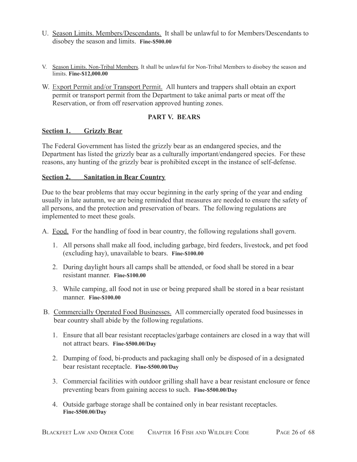- U. Season Limits. Members/Descendants. It shall be unlawful to for Members/Descendants to disobey the season and limits. **Fine-\$500.00**
- V. Season Limits. Non-Tribal Members. It shall be unlawful for Non-Tribal Members to disobey the season and limits. **Fine-\$12,000.00**
- W. Export Permit and/or Transport Permit. All hunters and trappers shall obtain an export permit or transport permit from the Department to take animal parts or meat off the Reservation, or from off reservation approved hunting zones.

## **PART V. BEARS**

## <span id="page-25-1"></span><span id="page-25-0"></span>**Section 1. Grizzly Bear**

The Federal Government has listed the grizzly bear as an endangered species, and the Department has listed the grizzly bear as a culturally important/endangered species. For these reasons, any hunting of the grizzly bear is prohibited except in the instance of self-defense.

## <span id="page-25-2"></span>**Section 2. Sanitation in Bear Country**

Due to the bear problems that may occur beginning in the early spring of the year and ending usually in late autumn, we are being reminded that measures are needed to ensure the safety of all persons, and the protection and preservation of bears. The following regulations are implemented to meet these goals.

A. Food. For the handling of food in bear country, the following regulations shall govern.

- 1. All persons shall make all food, including garbage, bird feeders, livestock, and pet food (excluding hay), unavailable to bears. **Fine-\$100.00**
- 2. During daylight hours all camps shall be attended, or food shall be stored in a bear resistant manner. **Fine-\$100.00**
- 3. While camping, all food not in use or being prepared shall be stored in a bear resistant manner. **Fine-\$100.00**
- B. Commercially Operated Food Businesses. All commercially operated food businesses in bear country shall abide by the following regulations.
	- 1. Ensure that all bear resistant receptacles/garbage containers are closed in a way that will not attract bears. **Fine-\$500.00/Day**
	- 2. Dumping of food, bi-products and packaging shall only be disposed of in a designated bear resistant receptacle. **Fine-\$500.00/Day**
	- 3. Commercial facilities with outdoor grilling shall have a bear resistant enclosure or fence preventing bears from gaining access to such. **Fine-\$500.00/Day**
	- 4. Outside garbage storage shall be contained only in bear resistant receptacles. **Fine-\$500.00/Day**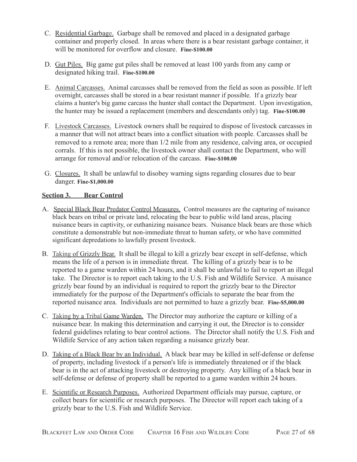- C. Residential Garbage. Garbage shall be removed and placed in a designated garbage container and properly closed. In areas where there is a bear resistant garbage container, it will be monitored for overflow and closure. **Fine-\$100.00**
- D. Gut Piles. Big game gut piles shall be removed at least 100 yards from any camp or designated hiking trail. **Fine-\$100.00**
- E. Animal Carcasses. Animal carcasses shall be removed from the field as soon as possible. If left overnight, carcasses shall be stored in a bear resistant manner if possible. If a grizzly bear claims a hunter's big game carcass the hunter shall contact the Department. Upon investigation, the hunter may be issued a replacement (members and descendants only) tag. **Fine-\$100.00**
- F. Livestock Carcasses. Livestock owners shall be required to dispose of livestock carcasses in a manner that will not attract bears into a conflict situation with people. Carcasses shall be removed to a remote area; more than 1/2 mile from any residence, calving area, or occupied corrals. If this is not possible, the livestock owner shall contact the Department, who will arrange for removal and/or relocation of the carcass. **Fine-\$100.00**
- G. Closures. It shall be unlawful to disobey warning signs regarding closures due to bear danger. **Fine-\$1,000.00**

## <span id="page-26-0"></span>**Section 3. Bear Control**

- A. Special Black Bear Predator Control Measures. Control measures are the capturing of nuisance black bears on tribal or private land, relocating the bear to public wild land areas, placing nuisance bears in captivity, or euthanizing nuisance bears. Nuisance black bears are those which constitute a demonstrable but non-immediate threat to human safety, or who have committed significant depredations to lawfully present livestock.
- B. Taking of Grizzly Bear. It shall be illegal to kill a grizzly bear except in self-defense, which means the life of a person is in immediate threat. The killing of a grizzly bear is to be reported to a game warden within 24 hours, and it shall be unlawful to fail to report an illegal take. The Director is to report each taking to the U.S. Fish and Wildlife Service. A nuisance grizzly bear found by an individual is required to report the grizzly bear to the Director immediately for the purpose of the Department's officials to separate the bear from the reported nuisance area. Individuals are not permitted to haze a grizzly bear. **Fine-\$5,000.00**
- C. Taking by a Tribal Game Warden. The Director may authorize the capture or killing of a nuisance bear. In making this determination and carrying it out, the Director is to consider federal guidelines relating to bear control actions. The Director shall notify the U.S. Fish and Wildlife Service of any action taken regarding a nuisance grizzly bear.
- D. Taking of a Black Bear by an Individual. A black bear may be killed in self-defense or defense of property, including livestock if a person's life is immediately threatened or if the black bear is in the act of attacking livestock or destroying property. Any killing of a black bear in self-defense or defense of property shall be reported to a game warden within 24 hours.
- E. Scientific or Research Purposes. Authorized Department officials may pursue, capture, or collect bears for scientific or research purposes. The Director will report each taking of a grizzly bear to the U.S. Fish and Wildlife Service.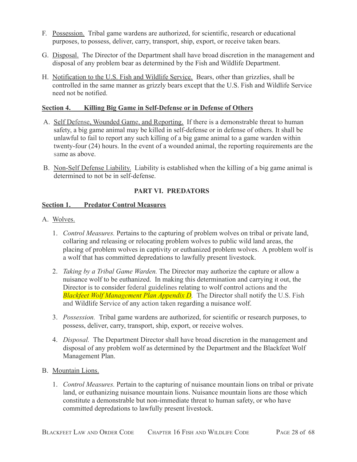- F. Possession. Tribal game wardens are authorized, for scientific, research or educational purposes, to possess, deliver, carry, transport, ship, export, or receive taken bears.
- G. Disposal. The Director of the Department shall have broad discretion in the management and disposal of any problem bear as determined by the Fish and Wildlife Department.
- H. Notification to the U.S. Fish and Wildlife Service. Bears, other than grizzlies, shall be controlled in the same manner as grizzly bears except that the U.S. Fish and Wildlife Service need not be notified.

### <span id="page-27-0"></span>**Section 4. Killing Big Game in Self-Defense or in Defense of Others**

- A. Self Defense, Wounded Game, and Reporting. If there is a demonstrable threat to human safety, a big game animal may be killed in self-defense or in defense of others. It shall be unlawful to fail to report any such killing of a big game animal to a game warden within twenty-four (24) hours. In the event of a wounded animal, the reporting requirements are the same as above.
- B. Non-Self Defense Liability. Liability is established when the killing of a big game animal is determined to not be in self-defense.

## **PART VI. PREDATORS**

## <span id="page-27-2"></span><span id="page-27-1"></span>**Section 1. Predator Control Measures**

- A. Wolves.
	- 1. *Control Measures.* Pertains to the capturing of problem wolves on tribal or private land, collaring and releasing or relocating problem wolves to public wild land areas, the placing of problem wolves in captivity or euthanized problem wolves. A problem wolf is a wolf that has committed depredations to lawfully present livestock.
	- 2. *Taking by a Tribal Game Warden.* The Director may authorize the capture or allow a nuisance wolf to be euthanized. In making this determination and carrying it out, the Director is to consider federal guidelines relating to wolf control actions and the *Blackfeet Wolf Management Plan Appendix D.* The Director shall notify the U.S. Fish and Wildlife Service of any action taken regarding a nuisance wolf.
	- 3. *Possession.* Tribal game wardens are authorized, for scientific or research purposes, to possess, deliver, carry, transport, ship, export, or receive wolves.
	- 4. *Disposal.* The Department Director shall have broad discretion in the management and disposal of any problem wolf as determined by the Department and the Blackfeet Wolf Management Plan.
- B. Mountain Lions.
	- 1. *Control Measures.* Pertain to the capturing of nuisance mountain lions on tribal or private land, or euthanizing nuisance mountain lions. Nuisance mountain lions are those which constitute a demonstrable but non-immediate threat to human safety, or who have committed depredations to lawfully present livestock.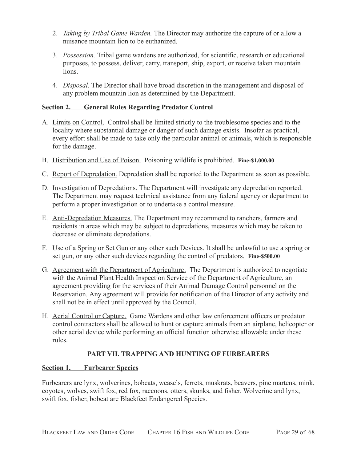- 2. *Taking by Tribal Game Warden.* The Director may authorize the capture of or allow a nuisance mountain lion to be euthanized.
- 3. *Possession.* Tribal game wardens are authorized, for scientific, research or educational purposes, to possess, deliver, carry, transport, ship, export, or receive taken mountain lions.
- 4. *Disposal.* The Director shall have broad discretion in the management and disposal of any problem mountain lion as determined by the Department.

## <span id="page-28-0"></span>**Section 2. General Rules Regarding Predator Control**

- A. Limits on Control. Control shall be limited strictly to the troublesome species and to the locality where substantial damage or danger of such damage exists. Insofar as practical, every effort shall be made to take only the particular animal or animals, which is responsible for the damage.
- B. Distribution and Use of Poison. Poisoning wildlife is prohibited. **Fine-\$1,000.00**
- C. Report of Depredation. Depredation shall be reported to the Department as soon as possible.
- D. Investigation of Depredations. The Department will investigate any depredation reported. The Department may request technical assistance from any federal agency or department to perform a proper investigation or to undertake a control measure.
- E. Anti-Depredation Measures. The Department may recommend to ranchers, farmers and residents in areas which may be subject to depredations, measures which may be taken to decrease or eliminate depredations.
- F. Use of a Spring or Set Gun or any other such Devices. It shall be unlawful to use a spring or set gun, or any other such devices regarding the control of predators. **Fine-\$500.00**
- G. Agreement with the Department of Agriculture. The Department is authorized to negotiate with the Animal Plant Health Inspection Service of the Department of Agriculture, an agreement providing for the services of their Animal Damage Control personnel on the Reservation. Any agreement will provide for notification of the Director of any activity and shall not be in effect until approved by the Council.
- H. Aerial Control or Capture. Game Wardens and other law enforcement officers or predator control contractors shall be allowed to hunt or capture animals from an airplane, helicopter or other aerial device while performing an official function otherwise allowable under these rules.

## **PART VII. TRAPPING AND HUNTING OF FURBEARERS**

## <span id="page-28-2"></span><span id="page-28-1"></span>**Section 1. Furbearer Species**

Furbearers are lynx, wolverines, bobcats, weasels, ferrets, muskrats, beavers, pine martens, mink, coyotes, wolves, swift fox, red fox, raccoons, otters, skunks, and fisher. Wolverine and lynx, swift fox, fisher, bobcat are Blackfeet Endangered Species.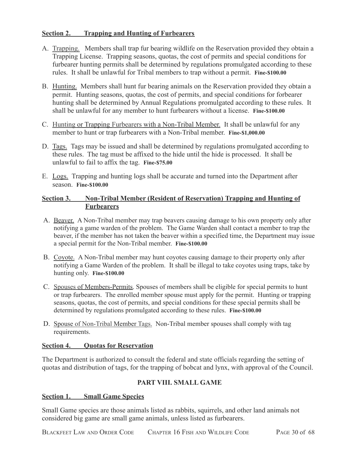## <span id="page-29-0"></span>**Section 2. Trapping and Hunting of Furbearers**

- A. Trapping. Members shall trap fur bearing wildlife on the Reservation provided they obtain a Trapping License. Trapping seasons, quotas, the cost of permits and special conditions for furbearer hunting permits shall be determined by regulations promulgated according to these rules. It shall be unlawful for Tribal members to trap without a permit. **Fine-\$100.00**
- B. Hunting. Members shall hunt fur bearing animals on the Reservation provided they obtain a permit. Hunting seasons, quotas, the cost of permits, and special conditions for forbearer hunting shall be determined by Annual Regulations promulgated according to these rules. It shall be unlawful for any member to hunt furbearers without a license. **Fine-\$100.00**
- C. Hunting or Trapping Furbearers with a Non-Tribal Member. It shall be unlawful for any member to hunt or trap furbearers with a Non-Tribal member. **Fine-\$1,000.00**
- D. Tags. Tags may be issued and shall be determined by regulations promulgated according to these rules. The tag must be affixed to the hide until the hide is processed. It shall be unlawful to fail to affix the tag. **Fine-\$75.00**
- E. Logs. Trapping and hunting logs shall be accurate and turned into the Department after season. **Fine-\$100.00**

## <span id="page-29-1"></span>**Section 3. Non-Tribal Member (Resident of Reservation) Trapping and Hunting of Furbearers**

- A. Beaver. A Non-Tribal member may trap beavers causing damage to his own property only after notifying a game warden of the problem. The Game Warden shall contact a member to trap the beaver, if the member has not taken the beaver within a specified time, the Department may issue a special permit for the Non-Tribal member. **Fine-\$100.00**
- B. Coyote. A Non-Tribal member may hunt coyotes causing damage to their property only after notifying a Game Warden of the problem. It shall be illegal to take coyotes using traps, take by hunting only. **Fine-\$100.00**
- C. Spouses of Members-Permits. Spouses of members shall be eligible for special permits to hunt or trap furbearers. The enrolled member spouse must apply for the permit. Hunting or trapping seasons, quotas, the cost of permits, and special conditions for these special permits shall be determined by regulations promulgated according to these rules. **Fine-\$100.00**
- D. Spouse of Non-Tribal Member Tags. Non-Tribal member spouses shall comply with tag requirements.

### <span id="page-29-2"></span>**Section 4. Quotas for Reservation**

The Department is authorized to consult the federal and state officials regarding the setting of quotas and distribution of tags, for the trapping of bobcat and lynx, with approval of the Council.

## **PART VIII. SMALL GAME**

### <span id="page-29-4"></span><span id="page-29-3"></span>**Section 1. Small Game Species**

Small Game species are those animals listed as rabbits, squirrels, and other land animals not considered big game are small game animals, unless listed as furbearers.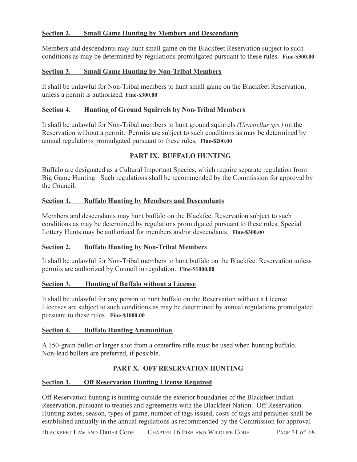## <span id="page-30-0"></span>**Section 2. Small Game Hunting by Members and Descendants**

Members and descendants may hunt small game on the Blackfeet Reservation subject to such conditions as may be determined by regulations promulgated pursuant to these rules. **Fine-\$300.00**

### <span id="page-30-1"></span>**Section 3. Small Game Hunting by Non-Tribal Members**

It shall be unlawful for Non-Tribal members to hunt small game on the Blackfeet Reservation, unless a permit is authorized. **Fine-\$300.00**

#### <span id="page-30-2"></span>**Section 4. Hunting of Ground Squirrels by Non-Tribal Members**

It shall be unlawful for Non-Tribal members to hunt ground squirrels *(Urocitellus sps.)* on the Reservation without a permit. Permits are subject to such conditions as may be determined by annual regulations promulgated pursuant to these rules. **Fine-\$200.00**

## **PART IX. BUFFALO HUNTING**

<span id="page-30-3"></span>Buffalo are designated as a Cultural Important Species, which require separate regulation from Big Game Hunting. Such regulations shall be recommended by the Commission for approval by the Council.

### <span id="page-30-4"></span>**Section 1. Buffalo Hunting by Members and Descendants**

Members and descendants may hunt buffalo on the Blackfeet Reservation subject to such conditions as may be determined by regulations promulgated pursuant to these rules. Special Lottery Hunts may be authorized for members and/or descendants. **Fine-\$300.00**

### <span id="page-30-5"></span>**Section 2. Buffalo Hunting by Non-Tribal Members**

It shall be unlawful for Non-Tribal members to hunt buffalo on the Blackfeet Reservation unless permits are authorized by Council in regulation. **Fine-\$1000.00**

### <span id="page-30-6"></span>**Section 3. Hunting of Buffalo without a License**

It shall be unlawful for any person to hunt buffalo on the Reservation without a License. Licenses are subject to such conditions as may be determined by annual regulations promulgated pursuant to these rules. **Fine-\$1000.00**

### <span id="page-30-7"></span>**Section 4. Buffalo Hunting Ammunition**

A 150-grain bullet or larger shot from a centerfire rifle must be used when hunting buffalo. Non-lead bullets are preferred, if possible.

### **PART X. OFF RESERVATION HUNTING**

### <span id="page-30-9"></span><span id="page-30-8"></span>**Section 1. Off Reservation Hunting License Required**

Off Reservation hunting is hunting outside the exterior boundaries of the Blackfeet Indian Reservation, pursuant to treaties and agreements with the Blackfeet Nation. Off Reservation Hunting zones, season, types of game, number of tags issued, costs of tags and penalties shall be established annually in the annual regulations as recommended by the Commission for approval

BLACKFEET LAW AND ORDER CODE CHAPTER 16 FISH AND WILDLIFE CODE PAGE 31 of 68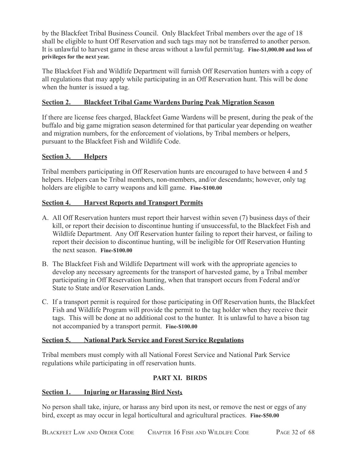by the Blackfeet Tribal Business Council. Only Blackfeet Tribal members over the age of 18 shall be eligible to hunt Off Reservation and such tags may not be transferred to another person. It is unlawful to harvest game in these areas without a lawful permit/tag. **Fine-\$1,000.00 and loss of privileges for the next year.**

The Blackfeet Fish and Wildlife Department will furnish Off Reservation hunters with a copy of all regulations that may apply while participating in an Off Reservation hunt. This will be done when the hunter is issued a tag.

## <span id="page-31-0"></span>**Section 2. Blackfeet Tribal Game Wardens During Peak Migration Season**

If there are license fees charged, Blackfeet Game Wardens will be present, during the peak of the buffalo and big game migration season determined for that particular year depending on weather and migration numbers, for the enforcement of violations, by Tribal members or helpers, pursuant to the Blackfeet Fish and Wildlife Code.

## **Section 3. Helpers**

Tribal members participating in Off Reservation hunts are encouraged to have between 4 and 5 helpers. Helpers can be Tribal members, non-members, and/or descendants; however, only tag holders are eligible to carry weapons and kill game. **Fine-\$100.00**

## <span id="page-31-1"></span>**Section 4. Harvest Reports and Transport Permits**

- A. All Off Reservation hunters must report their harvest within seven (7) business days of their kill, or report their decision to discontinue hunting if unsuccessful, to the Blackfeet Fish and Wildlife Department. Any Off Reservation hunter failing to report their harvest, or failing to report their decision to discontinue hunting, will be ineligible for Off Reservation Hunting the next season. **Fine-\$100.00**
- B. The Blackfeet Fish and Wildlife Department will work with the appropriate agencies to develop any necessary agreements for the transport of harvested game, by a Tribal member participating in Off Reservation hunting, when that transport occurs from Federal and/or State to State and/or Reservation Lands.
- C. If a transport permit is required for those participating in Off Reservation hunts, the Blackfeet Fish and Wildlife Program will provide the permit to the tag holder when they receive their tags. This will be done at no additional cost to the hunter. It is unlawful to have a bison tag not accompanied by a transport permit. **Fine-\$100.00**

## <span id="page-31-2"></span>**Section 5. National Park Service and Forest Service Regulations**

Tribal members must comply with all National Forest Service and National Park Service regulations while participating in off reservation hunts.

## **PART XI. BIRDS**

## <span id="page-31-4"></span><span id="page-31-3"></span>**Section 1. Injuring or Harassing Bird Nests**

No person shall take, injure, or harass any bird upon its nest, or remove the nest or eggs of any bird, except as may occur in legal horticultural and agricultural practices. **Fine-\$50.00**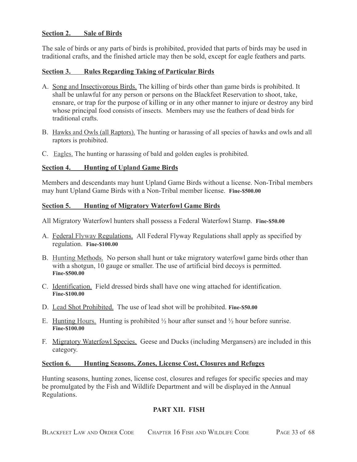### <span id="page-32-0"></span>**Section 2. Sale of Birds**

The sale of birds or any parts of birds is prohibited, provided that parts of birds may be used in traditional crafts, and the finished article may then be sold, except for eagle feathers and parts.

#### <span id="page-32-1"></span>**Section 3. Rules Regarding Taking of Particular Birds**

- A. Song and Insectivorous Birds. The killing of birds other than game birds is prohibited. It shall be unlawful for any person or persons on the Blackfeet Reservation to shoot, take, ensnare, or trap for the purpose of killing or in any other manner to injure or destroy any bird whose principal food consists of insects. Members may use the feathers of dead birds for traditional crafts.
- B. Hawks and Owls (all Raptors). The hunting or harassing of all species of hawks and owls and all raptors is prohibited.
- C. Eagles. The hunting or harassing of bald and golden eagles is prohibited.

#### <span id="page-32-2"></span>**Section 4. Hunting of Upland Game Birds**

Members and descendants may hunt Upland Game Birds without a license. Non-Tribal members may hunt Upland Game Birds with a Non-Tribal member license. **Fine-\$500.00**

#### <span id="page-32-3"></span>**Section 5. Hunting of Migratory Waterfowl Game Birds**

All Migratory Waterfowl hunters shall possess a Federal Waterfowl Stamp. **Fine-\$50.00**

- A. Federal Flyway Regulations. All Federal Flyway Regulations shall apply as specified by regulation. **Fine-\$100.00**
- B. Hunting Methods. No person shall hunt or take migratory waterfowl game birds other than with a shotgun, 10 gauge or smaller. The use of artificial bird decoys is permitted. **Fine-\$500.00**
- C. Identification. Field dressed birds shall have one wing attached for identification. **Fine-\$100.00**
- D. Lead Shot Prohibited. The use of lead shot will be prohibited. **Fine-\$50.00**
- E. Hunting Hours. Hunting is prohibited  $\frac{1}{2}$  hour after sunset and  $\frac{1}{2}$  hour before sunrise. **Fine-\$100.00**
- F. Migratory Waterfowl Species. Geese and Ducks (including Mergansers) are included in this category.

#### <span id="page-32-4"></span>**Section 6. Hunting Seasons, Zones, License Cost, Closures and Refuges**

<span id="page-32-5"></span>Hunting seasons, hunting zones, license cost, closures and refuges for specific species and may be promulgated by the Fish and Wildlife Department and will be displayed in the Annual Regulations.

#### **PART XII. FISH**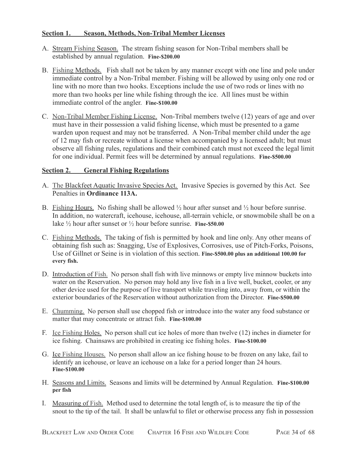### <span id="page-33-0"></span>**Section 1. Season, Methods, Non-Tribal Member Licenses**

- A. Stream Fishing Season. The stream fishing season for Non-Tribal members shall be established by annual regulation. **Fine-\$200.00**
- B. Fishing Methods. Fish shall not be taken by any manner except with one line and pole under immediate control by a Non-Tribal member. Fishing will be allowed by using only one rod or line with no more than two hooks. Exceptions include the use of two rods or lines with no more than two hooks per line while fishing through the ice. All lines must be within immediate control of the angler. **Fine-\$100.00**
- C. Non-Tribal Member Fishing License. Non-Tribal members twelve (12) years of age and over must have in their possession a valid fishing license, which must be presented to a game warden upon request and may not be transferred. A Non-Tribal member child under the age of 12 may fish or recreate without a license when accompanied by a licensed adult; but must observe all fishing rules, regulations and their combined catch must not exceed the legal limit for one individual. Permit fees will be determined by annual regulations. **Fine-\$500.00**

### <span id="page-33-1"></span>**Section 2. General Fishing Regulations**

- A. The Blackfeet Aquatic Invasive Species Act. Invasive Species is governed by this Act. See Penalties in **Ordinance 113A.**
- B. Fishing Hours. No fishing shall be allowed  $\frac{1}{2}$  hour after sunset and  $\frac{1}{2}$  hour before sunrise. In addition, no watercraft, icehouse, icehouse, all-terrain vehicle, or snowmobile shall be on a lake ½ hour after sunset or ½ hour before sunrise. **Fine-\$50.00**
- C. Fishing Methods. The taking of fish is permitted by hook and line only. Any other means of obtaining fish such as: Snagging, Use of Explosives, Corrosives, use of Pitch-Forks, Poisons, Use of Gillnet or Seine is in violation of this section. **Fine-\$500.00 plus an additional 100.00 for every fish.**
- D. Introduction of Fish. No person shall fish with live minnows or empty live minnow buckets into water on the Reservation. No person may hold any live fish in a live well, bucket, cooler, or any other device used for the purpose of live transport while traveling into, away from, or within the exterior boundaries of the Reservation without authorization from the Director. **Fine-\$500.00**
- E. Chumming. No person shall use chopped fish or introduce into the water any food substance or matter that may concentrate or attract fish. **Fine-\$100.00**
- F. Ice Fishing Holes. No person shall cut ice holes of more than twelve (12) inches in diameter for ice fishing. Chainsaws are prohibited in creating ice fishing holes. **Fine-\$100.00**
- G. Ice Fishing Houses. No person shall allow an ice fishing house to be frozen on any lake, fail to identify an icehouse, or leave an icehouse on a lake for a period longer than 24 hours. **Fine-\$100.00**
- H. Seasons and Limits. Seasons and limits will be determined by Annual Regulation. **Fine-\$100.00 per fish**
- I. Measuring of Fish. Method used to determine the total length of, is to measure the tip of the snout to the tip of the tail. It shall be unlawful to filet or otherwise process any fish in possession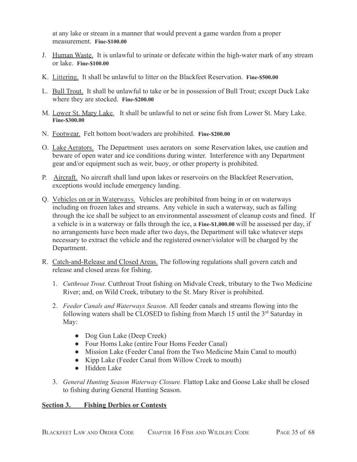at any lake or stream in a manner that would prevent a game warden from a proper measurement. **Fine-\$100.00**

- J. Human Waste. It is unlawful to urinate or defecate within the high-water mark of any stream or lake. **Fine-\$100.00**
- K. Littering. It shall be unlawful to litter on the Blackfeet Reservation. **Fine-\$500.00**
- L. Bull Trout. It shall be unlawful to take or be in possession of Bull Trout; except Duck Lake where they are stocked. **Fine-\$200.00**
- M. Lower St. Mary Lake. It shall be unlawful to net or seine fish from Lower St. Mary Lake. **Fine-\$300.00**
- N. Footwear. Felt bottom boot/waders are prohibited. **Fine-\$200.00**
- O. Lake Aerators. The Department uses aerators on some Reservation lakes, use caution and beware of open water and ice conditions during winter. Interference with any Department gear and/or equipment such as weir, buoy, or other property is prohibited.
- P. Aircraft. No aircraft shall land upon lakes or reservoirs on the Blackfeet Reservation, exceptions would include emergency landing.
- Q. Vehicles on or in Waterways. Vehicles are prohibited from being in or on waterways including on frozen lakes and streams. Any vehicle in such a waterway, such as falling through the ice shall be subject to an environmental assessment of cleanup costs and fined. If a vehicle is in a waterway or falls through the ice, a **Fine-\$1,000.00** will be assessed per day, if no arrangements have been made after two days, the Department will take whatever steps necessary to extract the vehicle and the registered owner/violator will be charged by the Department.
- R. Catch-and-Release and Closed Areas. The following regulations shall govern catch and release and closed areas for fishing.
	- 1. *Cutthroat Trout.* Cutthroat Trout fishing on Midvale Creek, tributary to the Two Medicine River; and, on Wild Creek, tributary to the St. Mary River is prohibited.
	- 2. *Feeder Canals and Waterways Season.* All feeder canals and streams flowing into the following waters shall be CLOSED to fishing from March 15 until the 3<sup>rd</sup> Saturday in May:
		- Dog Gun Lake (Deep Creek)
		- Four Homs Lake (entire Four Homs Feeder Canal)
		- Mission Lake (Feeder Canal from the Two Medicine Main Canal to mouth)
		- Kipp Lake (Feeder Canal from Willow Creek to mouth)
		- Hidden Lake
	- 3. *General Hunting Season Waterway Closure.* Flattop Lake and Goose Lake shall be closed to fishing during General Hunting Season.

## <span id="page-34-0"></span>**Section 3. Fishing Derbies or Contests**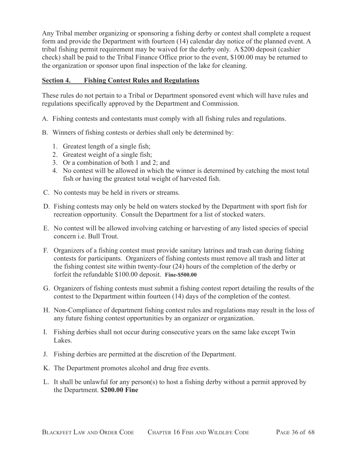Any Tribal member organizing or sponsoring a fishing derby or contest shall complete a request form and provide the Department with fourteen (14) calendar day notice of the planned event. A tribal fishing permit requirement may be waived for the derby only. A \$200 deposit (cashier check) shall be paid to the Tribal Finance Office prior to the event, \$100.00 may be returned to the organization or sponsor upon final inspection of the lake for cleaning.

## <span id="page-35-0"></span>**Section 4. Fishing Contest Rules and Regulations**

These rules do not pertain to a Tribal or Department sponsored event which will have rules and regulations specifically approved by the Department and Commission.

- A. Fishing contests and contestants must comply with all fishing rules and regulations.
- B. Winners of fishing contests or derbies shall only be determined by:
	- 1. Greatest length of a single fish;
	- 2. Greatest weight of a single fish;
	- 3. Or a combination of both 1 and 2; and
	- 4. No contest will be allowed in which the winner is determined by catching the most total fish or having the greatest total weight of harvested fish.
- C. No contests may be held in rivers or streams.
- D. Fishing contests may only be held on waters stocked by the Department with sport fish for recreation opportunity. Consult the Department for a list of stocked waters.
- E. No contest will be allowed involving catching or harvesting of any listed species of special concern i.e. Bull Trout.
- F. Organizers of a fishing contest must provide sanitary latrines and trash can during fishing contests for participants. Organizers of fishing contests must remove all trash and litter at the fishing contest site within twenty-four (24) hours of the completion of the derby or forfeit the refundable \$100.00 deposit. **Fine-\$500.00**
- G. Organizers of fishing contests must submit a fishing contest report detailing the results of the contest to the Department within fourteen (14) days of the completion of the contest.
- H. Non-Compliance of department fishing contest rules and regulations may result in the loss of any future fishing contest opportunities by an organizer or organization.
- I. Fishing derbies shall not occur during consecutive years on the same lake except Twin Lakes.
- J. Fishing derbies are permitted at the discretion of the Department.
- K. The Department promotes alcohol and drug free events.
- L. It shall be unlawful for any person(s) to host a fishing derby without a permit approved by the Department. **\$200.00 Fine**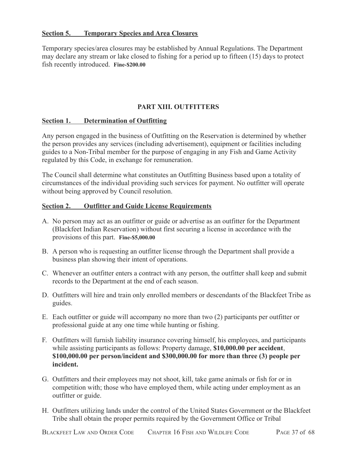### <span id="page-36-0"></span>**Section 5. Temporary Species and Area Closures**

Temporary species/area closures may be established by Annual Regulations. The Department may declare any stream or lake closed to fishing for a period up to fifteen (15) days to protect fish recently introduced. **Fine-\$200.00**

## **PART XIII. OUTFITTERS**

#### <span id="page-36-2"></span><span id="page-36-1"></span>**Section 1. Determination of Outfitting**

Any person engaged in the business of Outfitting on the Reservation is determined by whether the person provides any services (including advertisement), equipment or facilities including guides to a Non-Tribal member for the purpose of engaging in any Fish and Game Activity regulated by this Code, in exchange for remuneration.

The Council shall determine what constitutes an Outfitting Business based upon a totality of circumstances of the individual providing such services for payment. No outfitter will operate without being approved by Council resolution.

### <span id="page-36-3"></span>**Section 2. Outfitter and Guide License Requirements**

- A. No person may act as an outfitter or guide or advertise as an outfitter for the Department (Blackfeet Indian Reservation) without first securing a license in accordance with the provisions of this part. **Fine-\$5,000.00**
- B. A person who is requesting an outfitter license through the Department shall provide a business plan showing their intent of operations.
- C. Whenever an outfitter enters a contract with any person, the outfitter shall keep and submit records to the Department at the end of each season.
- D. Outfitters will hire and train only enrolled members or descendants of the Blackfeet Tribe as guides.
- E. Each outfitter or guide will accompany no more than two (2) participants per outfitter or professional guide at any one time while hunting or fishing.
- F. Outfitters will furnish liability insurance covering himself, his employees, and participants while assisting participants as follows: Property damage, **\$10,000.00 per accident**, **\$100,000.00 per person/incident and \$300,000.00 for more than three (3) people per incident.**
- G. Outfitters and their employees may not shoot, kill, take game animals or fish for or in competition with; those who have employed them, while acting under employment as an outfitter or guide.
- H. Outfitters utilizing lands under the control of the United States Government or the Blackfeet Tribe shall obtain the proper permits required by the Government Office or Tribal

BLACKFEET LAW AND ORDER CODE CHAPTER 16 FISH AND WILDLIFE CODE PAGE 37 of 68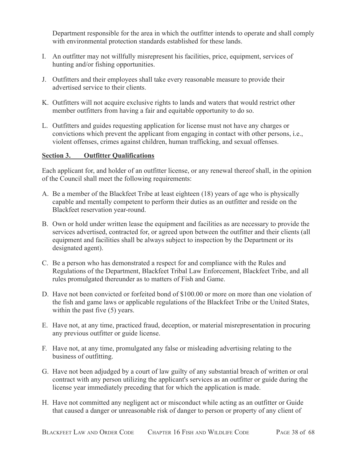Department responsible for the area in which the outfitter intends to operate and shall comply with environmental protection standards established for these lands.

- I. An outfitter may not willfully misrepresent his facilities, price, equipment, services of hunting and/or fishing opportunities.
- J. Outfitters and their employees shall take every reasonable measure to provide their advertised service to their clients.
- K. Outfitters will not acquire exclusive rights to lands and waters that would restrict other member outfitters from having a fair and equitable opportunity to do so.
- L. Outfitters and guides requesting application for license must not have any charges or convictions which prevent the applicant from engaging in contact with other persons, i.e., violent offenses, crimes against children, human trafficking, and sexual offenses.

## <span id="page-37-0"></span>**Section 3. Outfitter Qualifications**

Each applicant for, and holder of an outfitter license, or any renewal thereof shall, in the opinion of the Council shall meet the following requirements:

- A. Be a member of the Blackfeet Tribe at least eighteen (18) years of age who is physically capable and mentally competent to perform their duties as an outfitter and reside on the Blackfeet reservation year-round.
- B. Own or hold under written lease the equipment and facilities as are necessary to provide the services advertised, contracted for, or agreed upon between the outfitter and their clients (all equipment and facilities shall be always subject to inspection by the Department or its designated agent).
- C. Be a person who has demonstrated a respect for and compliance with the Rules and Regulations of the Department, Blackfeet Tribal Law Enforcement, Blackfeet Tribe, and all rules promulgated thereunder as to matters of Fish and Game.
- D. Have not been convicted or forfeited bond of \$100.00 or more on more than one violation of the fish and game laws or applicable regulations of the Blackfeet Tribe or the United States, within the past five  $(5)$  years.
- E. Have not, at any time, practiced fraud, deception, or material misrepresentation in procuring any previous outfitter or guide license.
- F. Have not, at any time, promulgated any false or misleading advertising relating to the business of outfitting.
- G. Have not been adjudged by a court of law guilty of any substantial breach of written or oral contract with any person utilizing the applicant's services as an outfitter or guide during the license year immediately preceding that for which the application is made.
- H. Have not committed any negligent act or misconduct while acting as an outfitter or Guide that caused a danger or unreasonable risk of danger to person or property of any client of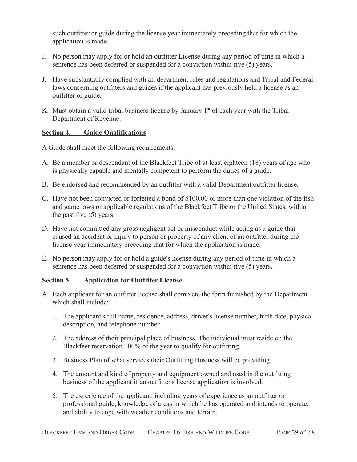such outfitter or guide during the license year immediately preceding that for which the application is made.

- I. No person may apply for or hold an outfitter License during any period of time in which a sentence has been deferred or suspended for a conviction within five (5) years.
- J. Have substantially complied with all department rules and regulations and Tribal and Federal laws concerning outfitters and guides if the applicant has previously held a license as an outfitter or guide.
- K. Must obtain a valid tribal business license by January 1<sup>st</sup> of each year with the Tribal Department of Revenue.

## <span id="page-38-0"></span>**Section 4. Guide Qualifications**

A Guide shall meet the following requirements:

- A. Be a member or descendant of the Blackfeet Tribe of at least eighteen (18) years of age who is physically capable and mentally competent to perform the duties of a guide.
- B. Be endorsed and recommended by an outfitter with a valid Department outfitter license.
- C. Have not been convicted or forfeited a bond of \$100.00 or more than one violation of the fish and game laws or applicable regulations of the Blackfeet Tribe or the United States, within the past five (5) years.
- D. Have not committed any gross negligent act or misconduct while acting as a guide that caused an accident or injury to person or property of any client of an outfitter during the license year immediately preceding that for which the application is made.
- E. No person may apply for or hold a guide's license during any period of time in which a sentence has been deferred or suspended for a conviction within five (5) years.

### <span id="page-38-1"></span>**Section 5. Application for Outfitter License**

- A. Each applicant for an outfitter license shall complete the form furnished by the Department which shall include:
	- 1. The applicant's full name, residence, address, driver's license number, birth date, physical description, and telephone number.
	- 2. The address of their principal place of business. The individual must reside on the Blackfeet reservation 100% of the year to qualify for outfitting.
	- 3. Business Plan of what services their Outfitting Business will be providing.
	- 4. The amount and kind of property and equipment owned and used in the outfitting business of the applicant if an outfitter's license application is involved.
	- 5. The experience of the applicant, including years of experience as an outfitter or professional guide, knowledge of areas in which he has operated and intends to operate, and ability to cope with weather conditions and terrain.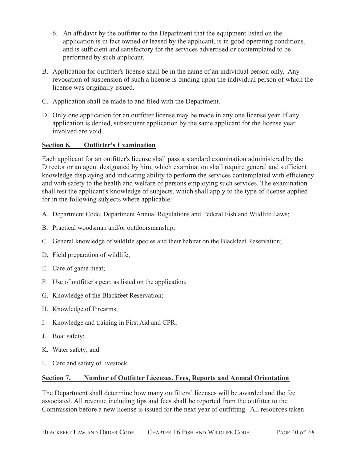- 6. An affidavit by the outfitter to the Department that the equipment listed on the application is in fact owned or leased by the applicant, is in good operating conditions, and is sufficient and satisfactory for the services advertised or contemplated to be performed by such applicant.
- B. Application for outfitter's license shall be in the name of an individual person only. Any revocation of suspension of such a license is binding upon the individual person of which the license was originally issued.
- C. Application shall be made to and filed with the Department.
- D. Only one application for an outfitter license may be made in any one license year. If any application is denied, subsequent application by the same applicant for the license year involved are void.

## <span id="page-39-0"></span>**Section 6. Outfitter's Examination**

Each applicant for an outfitter's license shall pass a standard examination administered by the Director or an agent designated by him, which examination shall require general and sufficient knowledge displaying and indicating ability to perform the services contemplated with efficiency and with safety to the health and welfare of persons employing such services. The examination shall test the applicant's knowledge of subjects, which shall apply to the type of license applied for in the following subjects where applicable:

- A. Department Code, Department Annual Regulations and Federal Fish and Wildlife Laws;
- B. Practical woodsman and/or outdoorsmanship;
- C. General knowledge of wildlife species and their habitat on the Blackfeet Reservation;
- D. Field preparation of wildlife;
- E. Care of game meat;
- F. Use of outfitter's gear, as listed on the application;
- G. Knowledge of the Blackfeet Reservation;
- H. Knowledge of Firearms;
- I. Knowledge and training in First Aid and CPR;
- J. Boat safety;
- K. Water safety; and
- L. Care and safety of livestock.

### <span id="page-39-1"></span>**Section 7. Number of Outfitter Licenses, Fees, Reports and Annual Orientation**

The Department shall determine how many outfitters' licenses will be awarded and the fee associated. All revenue including tips and fees shall be reported from the outfitter to the Commission before a new license is issued for the next year of outfitting. All resources taken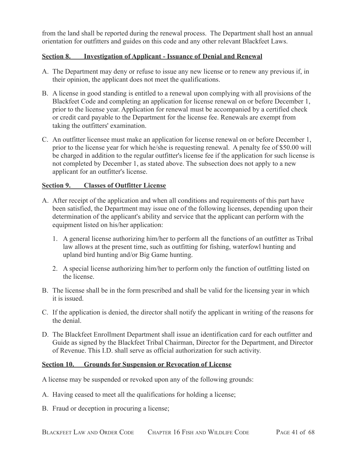from the land shall be reported during the renewal process. The Department shall host an annual orientation for outfitters and guides on this code and any other relevant Blackfeet Laws.

### <span id="page-40-0"></span>**Section 8. Investigation of Applicant - Issuance of Denial and Renewal**

- A. The Department may deny or refuse to issue any new license or to renew any previous if, in their opinion, the applicant does not meet the qualifications.
- B. A license in good standing is entitled to a renewal upon complying with all provisions of the Blackfeet Code and completing an application for license renewal on or before December 1, prior to the license year. Application for renewal must be accompanied by a certified check or credit card payable to the Department for the license fee. Renewals are exempt from taking the outfitters' examination.
- C. An outfitter licensee must make an application for license renewal on or before December 1, prior to the license year for which he/she is requesting renewal. A penalty fee of \$50.00 will be charged in addition to the regular outfitter's license fee if the application for such license is not completed by December 1, as stated above. The subsection does not apply to a new applicant for an outfitter's license.

## <span id="page-40-1"></span>**Section 9. Classes of Outfitter License**

- A. After receipt of the application and when all conditions and requirements of this part have been satisfied, the Department may issue one of the following licenses, depending upon their determination of the applicant's ability and service that the applicant can perform with the equipment listed on his/her application:
	- 1. A general license authorizing him/her to perform all the functions of an outfitter as Tribal law allows at the present time, such as outfitting for fishing, waterfowl hunting and upland bird hunting and/or Big Game hunting.
	- 2. A special license authorizing him/her to perform only the function of outfitting listed on the license.
- B. The license shall be in the form prescribed and shall be valid for the licensing year in which it is issued.
- C. If the application is denied, the director shall notify the applicant in writing of the reasons for the denial.
- D. The Blackfeet Enrollment Department shall issue an identification card for each outfitter and Guide as signed by the Blackfeet Tribal Chairman, Director for the Department, and Director of Revenue. This I.D. shall serve as official authorization for such activity.

### <span id="page-40-2"></span>**Section 10. Grounds for Suspension or Revocation of License**

A license may be suspended or revoked upon any of the following grounds:

- A. Having ceased to meet all the qualifications for holding a license;
- B. Fraud or deception in procuring a license;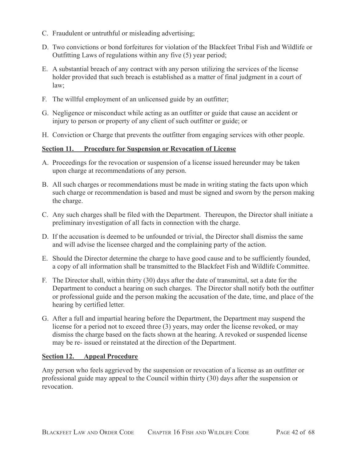- C. Fraudulent or untruthful or misleading advertising;
- D. Two convictions or bond forfeitures for violation of the Blackfeet Tribal Fish and Wildlife or Outfitting Laws of regulations within any five (5) year period;
- E. A substantial breach of any contract with any person utilizing the services of the license holder provided that such breach is established as a matter of final judgment in a court of law;
- F. The willful employment of an unlicensed guide by an outfitter;
- G. Negligence or misconduct while acting as an outfitter or guide that cause an accident or injury to person or property of any client of such outfitter or guide; or
- H. Conviction or Charge that prevents the outfitter from engaging services with other people.

#### <span id="page-41-0"></span>**Section 11. Procedure for Suspension or Revocation of License**

- A. Proceedings for the revocation or suspension of a license issued hereunder may be taken upon charge at recommendations of any person.
- B. All such charges or recommendations must be made in writing stating the facts upon which such charge or recommendation is based and must be signed and sworn by the person making the charge.
- C. Any such charges shall be filed with the Department. Thereupon, the Director shall initiate a preliminary investigation of all facts in connection with the charge.
- D. If the accusation is deemed to be unfounded or trivial, the Director shall dismiss the same and will advise the licensee charged and the complaining party of the action.
- E. Should the Director determine the charge to have good cause and to be sufficiently founded, a copy of all information shall be transmitted to the Blackfeet Fish and Wildlife Committee.
- F. The Director shall, within thirty (30) days after the date of transmittal, set a date for the Department to conduct a hearing on such charges. The Director shall notify both the outfitter or professional guide and the person making the accusation of the date, time, and place of the hearing by certified letter.
- G. After a full and impartial hearing before the Department, the Department may suspend the license for a period not to exceed three (3) years, may order the license revoked, or may dismiss the charge based on the facts shown at the hearing. A revoked or suspended license may be re- issued or reinstated at the direction of the Department.

#### <span id="page-41-1"></span>**Section 12. Appeal Procedure**

Any person who feels aggrieved by the suspension or revocation of a license as an outfitter or professional guide may appeal to the Council within thirty (30) days after the suspension or revocation.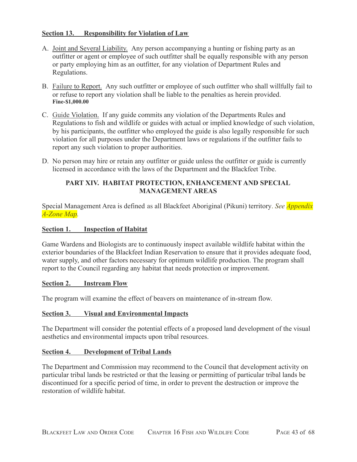## <span id="page-42-0"></span>**Section 13. Responsibility for Violation of Law**

- A. Joint and Several Liability. Any person accompanying a hunting or fishing party as an outfitter or agent or employee of such outfitter shall be equally responsible with any person or party employing him as an outfitter, for any violation of Department Rules and Regulations.
- B. Failure to Report. Any such outfitter or employee of such outfitter who shall willfully fail to or refuse to report any violation shall be liable to the penalties as herein provided. **Fine-\$1,000.00**
- C. Guide Violation. If any guide commits any violation of the Departments Rules and Regulations to fish and wildlife or guides with actual or implied knowledge of such violation, by his participants, the outfitter who employed the guide is also legally responsible for such violation for all purposes under the Department laws or regulations if the outfitter fails to report any such violation to proper authorities.
- D. No person may hire or retain any outfitter or guide unless the outfitter or guide is currently licensed in accordance with the laws of the Department and the Blackfeet Tribe.

## **PART XIV. HABITAT PROTECTION, ENHANCEMENT AND SPECIAL MANAGEMENT AREAS**

<span id="page-42-1"></span>Special Management Area is defined as all Blackfeet Aboriginal (Pikuni) territory. *See Appendix A-Zone Map.*

## <span id="page-42-2"></span>**Section 1. Inspection of Habitat**

Game Wardens and Biologists are to continuously inspect available wildlife habitat within the exterior boundaries of the Blackfeet Indian Reservation to ensure that it provides adequate food, water supply, and other factors necessary for optimum wildlife production. The program shall report to the Council regarding any habitat that needs protection or improvement.

### <span id="page-42-3"></span>**Section 2. Instream Flow**

The program will examine the effect of beavers on maintenance of in-stream flow.

### <span id="page-42-4"></span>**Section 3. Visual and Environmental Impacts**

The Department will consider the potential effects of a proposed land development of the visual aesthetics and environmental impacts upon tribal resources.

### <span id="page-42-5"></span>**Section 4. Development of Tribal Lands**

The Department and Commission may recommend to the Council that development activity on particular tribal lands be restricted or that the leasing or permitting of particular tribal lands be discontinued for a specific period of time, in order to prevent the destruction or improve the restoration of wildlife habitat.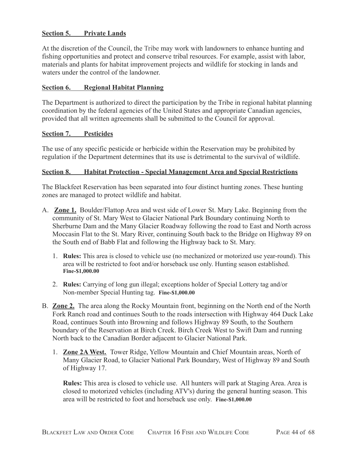### <span id="page-43-0"></span>**Section 5. Private Lands**

At the discretion of the Council, the Tribe may work with landowners to enhance hunting and fishing opportunities and protect and conserve tribal resources. For example, assist with labor, materials and plants for habitat improvement projects and wildlife for stocking in lands and waters under the control of the landowner.

#### <span id="page-43-1"></span>**Section 6. Regional Habitat Planning**

The Department is authorized to direct the participation by the Tribe in regional habitat planning coordination by the federal agencies of the United States and appropriate Canadian agencies, provided that all written agreements shall be submitted to the Council for approval.

#### <span id="page-43-2"></span>**Section 7. Pesticides**

The use of any specific pesticide or herbicide within the Reservation may be prohibited by regulation if the Department determines that its use is detrimental to the survival of wildlife.

### <span id="page-43-3"></span>**Section 8. Habitat Protection - Special Management Area and Special Restrictions**

The Blackfeet Reservation has been separated into four distinct hunting zones. These hunting zones are managed to protect wildlife and habitat.

- A. **Zone 1.** Boulder/Flattop Area and west side of Lower St. Mary Lake. Beginning from the community of St. Mary West to Glacier National Park Boundary continuing North to Sherburne Dam and the Many Glacier Roadway following the road to East and North across Moccasin Flat to the St. Mary River, continuing South back to the Bridge on Highway 89 on the South end of Babb Flat and following the Highway back to St. Mary.
	- 1. **Rules:** This area is closed to vehicle use (no mechanized or motorized use year-round). This area will be restricted to foot and/or horseback use only. Hunting season established. **Fine-\$1,000.00**
	- 2. **Rules:** Carrying of long gun illegal; exceptions holder of Special Lottery tag and/or Non-member Special Hunting tag. **Fine-\$1,000.00**
- B. **Zone 2.** The area along the Rocky Mountain front, beginning on the North end of the North Fork Ranch road and continues South to the roads intersection with Highway 464 Duck Lake Road, continues South into Browning and follows Highway 89 South, to the Southern boundary of the Reservation at Birch Creek. Birch Creek West to Swift Dam and running North back to the Canadian Border adjacent to Glacier National Park.
	- 1. **Zone 2A West.** Tower Ridge, Yellow Mountain and Chief Mountain areas, North of Many Glacier Road, to Glacier National Park Boundary, West of Highway 89 and South of Highway 17.

**Rules:** This area is closed to vehicle use. All hunters will park at Staging Area. Area is closed to motorized vehicles (including ATV's) during the general hunting season. This area will be restricted to foot and horseback use only. **Fine-\$1,000.00**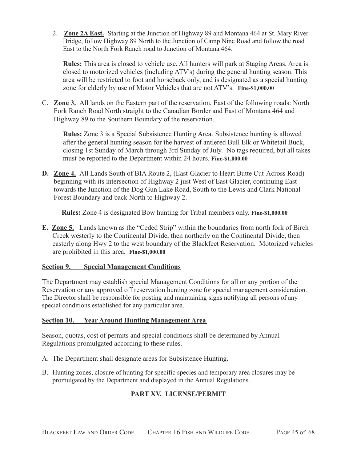2. **Zone 2A East.** Starting at the Junction of Highway 89 and Montana 464 at St. Mary River Bridge, follow Highway 89 North to the Junction of Camp Nine Road and follow the road East to the North Fork Ranch road to Junction of Montana 464.

**Rules:** This area is closed to vehicle use. All hunters will park at Staging Areas. Area is closed to motorized vehicles (including ATV's) during the general hunting season. This area will be restricted to foot and horseback only, and is designated as a special hunting zone for elderly by use of Motor Vehicles that are not ATV's. **Fine-\$1,000.00**

C. **Zone 3.** All lands on the Eastern part of the reservation, East of the following roads: North Fork Ranch Road North straight to the Canadian Border and East of Montana 464 and Highway 89 to the Southern Boundary of the reservation.

**Rules:** Zone 3 is a Special Subsistence Hunting Area. Subsistence hunting is allowed after the general hunting season for the harvest of antlered Bull Elk or Whitetail Buck, closing 1st Sunday of March through 3rd Sunday of July. No tags required, but all takes must be reported to the Department within 24 hours. **Fine-\$1,000.00**

**D. Zone 4.** All Lands South of BIA Route 2, (East Glacier to Heart Butte Cut-Across Road) beginning with its intersection of Highway 2 just West of East Glacier, continuing East towards the Junction of the Dog Gun Lake Road, South to the Lewis and Clark National Forest Boundary and back North to Highway 2.

**Rules:** Zone 4 is designated Bow hunting for Tribal members only. **Fine-\$1,000.00**

**E. Zone 5.** Lands known as the "Ceded Strip" within the boundaries from north fork of Birch Creek westerly to the Continental Divide, then northerly on the Continental Divide, then easterly along Hwy 2 to the west boundary of the Blackfeet Reservation. Motorized vehicles are prohibited in this area. **Fine-\$1,000.00**

## <span id="page-44-0"></span>**Section 9. Special Management Conditions**

The Department may establish special Management Conditions for all or any portion of the Reservation or any approved off reservation hunting zone for special management consideration. The Director shall be responsible for posting and maintaining signs notifying all persons of any special conditions established for any particular area.

## <span id="page-44-1"></span>**Section 10. Year Around Hunting Management Area**

Season, quotas, cost of permits and special conditions shall be determined by Annual Regulations promulgated according to these rules.

- A. The Department shall designate areas for Subsistence Hunting.
- <span id="page-44-2"></span>B. Hunting zones, closure of hunting for specific species and temporary area closures may be promulgated by the Department and displayed in the Annual Regulations.

# **PART XV. LICENSE/PERMIT**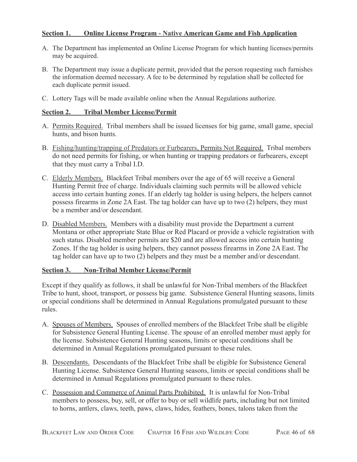## <span id="page-45-0"></span>**Section 1. Online License Program - Native American Game and Fish Application**

- A. The Department has implemented an Online License Program for which hunting licenses/permits may be acquired.
- B. The Department may issue a duplicate permit, provided that the person requesting such furnishes the information deemed necessary. A fee to be determined by regulation shall be collected for each duplicate permit issued.
- C. Lottery Tags will be made available online when the Annual Regulations authorize.

## <span id="page-45-1"></span>**Section 2. Tribal Member License/Permit**

- A. Permits Required. Tribal members shall be issued licenses for big game, small game, special hunts, and bison hunts.
- B. Fishing/hunting/trapping of Predators or Furbearers, Permits Not Required. Tribal members do not need permits for fishing, or when hunting or trapping predators or furbearers, except that they must carry a Tribal I.D.
- C. Elderly Members. Blackfeet Tribal members over the age of 65 will receive a General Hunting Permit free of charge. Individuals claiming such permits will be allowed vehicle access into certain hunting zones. If an elderly tag holder is using helpers, the helpers cannot possess firearms in Zone 2A East. The tag holder can have up to two (2) helpers, they must be a member and/or descendant.
- D. Disabled Members. Members with a disability must provide the Department a current Montana or other appropriate State Blue or Red Placard or provide a vehicle registration with such status. Disabled member permits are \$20 and are allowed access into certain hunting Zones. If the tag holder is using helpers, they cannot possess firearms in Zone 2A East. The tag holder can have up to two (2) helpers and they must be a member and/or descendant.

### <span id="page-45-2"></span>**Section 3. Non-Tribal Member License/Permit**

Except if they qualify as follows, it shall be unlawful for Non-Tribal members of the Blackfeet Tribe to hunt, shoot, transport, or possess big game. Subsistence General Hunting seasons, limits or special conditions shall be determined in Annual Regulations promulgated pursuant to these rules.

- A. Spouses of Members. Spouses of enrolled members of the Blackfeet Tribe shall be eligible for Subsistence General Hunting License. The spouse of an enrolled member must apply for the license. Subsistence General Hunting seasons, limits or special conditions shall be determined in Annual Regulations promulgated pursuant to these rules.
- B. Descendants. Descendants of the Blackfeet Tribe shall be eligible for Subsistence General Hunting License. Subsistence General Hunting seasons, limits or special conditions shall be determined in Annual Regulations promulgated pursuant to these rules.
- C. Possession and Commerce of Animal Parts Prohibited. It is unlawful for Non-Tribal members to possess, buy, sell, or offer to buy or sell wildlife parts, including but not limited to horns, antlers, claws, teeth, paws, claws, hides, feathers, bones, talons taken from the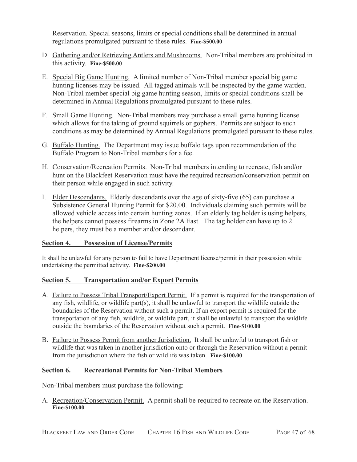Reservation. Special seasons, limits or special conditions shall be determined in annual regulations promulgated pursuant to these rules. **Fine-\$500.00**

- D. Gathering and/or Retrieving Antlers and Mushrooms. Non-Tribal members are prohibited in this activity. **Fine-\$500.00**
- E. Special Big Game Hunting. A limited number of Non-Tribal member special big game hunting licenses may be issued. All tagged animals will be inspected by the game warden. Non-Tribal member special big game hunting season, limits or special conditions shall be determined in Annual Regulations promulgated pursuant to these rules.
- F. Small Game Hunting. Non-Tribal members may purchase a small game hunting license which allows for the taking of ground squirrels or gophers. Permits are subject to such conditions as may be determined by Annual Regulations promulgated pursuant to these rules.
- G. Buffalo Hunting. The Department may issue buffalo tags upon recommendation of the Buffalo Program to Non-Tribal members for a fee.
- H. Conservation/Recreation Permits. Non-Tribal members intending to recreate, fish and/or hunt on the Blackfeet Reservation must have the required recreation/conservation permit on their person while engaged in such activity.
- I. Elder Descendants. Elderly descendants over the age of sixty-five (65) can purchase a Subsistence General Hunting Permit for \$20.00. Individuals claiming such permits will be allowed vehicle access into certain hunting zones. If an elderly tag holder is using helpers, the helpers cannot possess firearms in Zone 2A East. The tag holder can have up to 2 helpers, they must be a member and/or descendant.

## <span id="page-46-0"></span>**Section 4. Possession of License/Permits**

It shall be unlawful for any person to fail to have Department license/permit in their possession while undertaking the permitted activity. **Fine-\$200.00**

## <span id="page-46-1"></span>**Section 5. Transportation and/or Export Permits**

- A. Failure to Possess Tribal Transport/Export Permit. If a permit is required for the transportation of any fish, wildlife, or wildlife part(s), it shall be unlawful to transport the wildlife outside the boundaries of the Reservation without such a permit. If an export permit is required for the transportation of any fish, wildlife, or wildlife part, it shall be unlawful to transport the wildlife outside the boundaries of the Reservation without such a permit. **Fine-\$100.00**
- B. Failure to Possess Permit from another Jurisdiction. It shall be unlawful to transport fish or wildlife that was taken in another jurisdiction onto or through the Reservation without a permit from the jurisdiction where the fish or wildlife was taken. **Fine-\$100.00**

### <span id="page-46-2"></span>**Section 6. Recreational Permits for Non-Tribal Members**

Non-Tribal members must purchase the following:

A. Recreation/Conservation Permit. A permit shall be required to recreate on the Reservation. **Fine-\$100.00**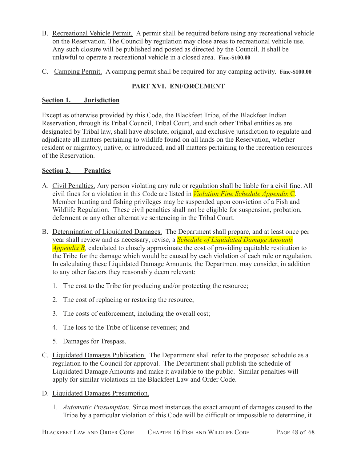- B. Recreational Vehicle Permit. A permit shall be required before using any recreational vehicle on the Reservation. The Council by regulation may close areas to recreational vehicle use. Any such closure will be published and posted as directed by the Council. It shall be unlawful to operate a recreational vehicle in a closed area. **Fine-\$100.00**
- C. Camping Permit. A camping permit shall be required for any camping activity. **Fine-\$100.00**

# **PART XVI. ENFORCEMENT**

## <span id="page-47-1"></span><span id="page-47-0"></span>**Section 1. Jurisdiction**

Except as otherwise provided by this Code, the Blackfeet Tribe, of the Blackfeet Indian Reservation, through its Tribal Council, Tribal Court, and such other Tribal entities as are designated by Tribal law, shall have absolute, original, and exclusive jurisdiction to regulate and adjudicate all matters pertaining to wildlife found on all lands on the Reservation, whether resident or migratory, native, or introduced, and all matters pertaining to the recreation resources of the Reservation.

## <span id="page-47-2"></span>**Section 2. Penalties**

- A. Civil Penalties. Any person violating any rule or regulation shall be liable for a civil fine. All civil fines for a violation in this Code are listed in *Violation Fine Schedule Appendix* C. Member hunting and fishing privileges may be suspended upon conviction of a Fish and Wildlife Regulation. These civil penalties shall not be eligible for suspension, probation, deferment or any other alternative sentencing in the Tribal Court.
- B. Determination of Liquidated Damages. The Department shall prepare, and at least once per year shall review and as necessary, revise, a *Schedule of Liquidated Damage Amounts Appendix B,* calculated to closely approximate the cost of providing equitable restitution to the Tribe for the damage which would be caused by each violation of each rule or regulation. In calculating these Liquidated Damage Amounts, the Department may consider, in addition to any other factors they reasonably deem relevant:
	- 1. The cost to the Tribe for producing and/or protecting the resource;
	- 2. The cost of replacing or restoring the resource;
	- 3. The costs of enforcement, including the overall cost;
	- 4. The loss to the Tribe of license revenues; and
	- 5. Damages for Trespass.
- C. Liquidated Damages Publication. The Department shall refer to the proposed schedule as a regulation to the Council for approval. The Department shall publish the schedule of Liquidated Damage Amounts and make it available to the public. Similar penalties will apply for similar violations in the Blackfeet Law and Order Code.
- D. Liquidated Damages Presumption.
	- 1. *Automatic Presumption.* Since most instances the exact amount of damages caused to the Tribe by a particular violation of this Code will be difficult or impossible to determine, it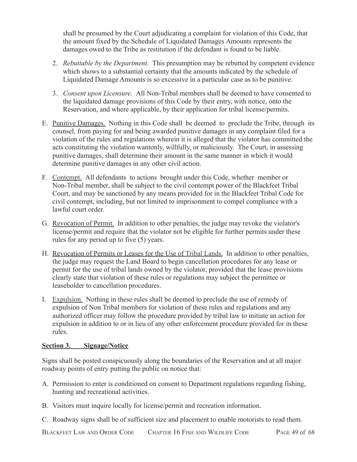shall be presumed by the Court adjudicating a complaint for violation of this Code, that the amount fixed by the Schedule of Liquidated Damages Amounts represents the damages owed to the Tribe as restitution if the defendant is found to be liable.

- 2. *Rebuttable by the Department.* This presumption may be rebutted by competent evidence which shows to a substantial certainty that the amounts indicated by the schedule of Liquidated Damage Amounts is so excessive in a particular case as to be punitive.
- 3. *Consent upon Licensure.* All Non-Tribal members shall be deemed to have consented to the liquidated damage provisions of this Code by their entry, with notice, onto the Reservation, and where applicable, by their application for tribal license/permits.
- E. Punitive Damages. Nothing in this Code shall be deemed to preclude the Tribe, through its counsel, from paying for and being awarded punitive damages in any complaint filed for a violation of the rules and regulations wherein it is alleged that the violator has committed the acts constituting the violation wantonly, willfully, or maliciously. The Court, in assessing punitive damages, shall determine their amount in the same manner in which it would determine punitive damages in any other civil action.
- F. Contempt. All defendants to actions brought under this Code, whether member or Non-Tribal member, shall be subject to the civil contempt power of the Blackfeet Tribal Court, and may be sanctioned by any means provided for in the Blackfeet Tribal Code for civil contempt, including, but not limited to imprisonment to compel compliance with a lawful court order.
- G. Revocation of Permit. In addition to other penalties, the judge may revoke the violator's license/permit and require that the violator not be eligible for further permits under these rules for any period up to five (5) years.
- H. Revocation of Permits or Leases for the Use of Tribal Lands. In addition to other penalties, the judge may request the Land Board to begin cancellation procedures for any lease or permit for the use of tribal lands owned by the violator, provided that the lease provisions clearly state that violation of these rules or regulations may subject the permittee or leaseholder to cancellation procedures.
- I. Expulsion. Nothing in these rules shall be deemed to preclude the use of remedy of expulsion of Non Tribal members for violation of these rules and regulations and any authorized officer may follow the procedure provided by tribal law to initiate an action for expulsion in addition to or in lieu of any other enforcement procedure provided for in these rules.

## <span id="page-48-0"></span>**Section 3. Signage/Notice**

Signs shall be posted conspicuously along the boundaries of the Reservation and at all major roadway points of entry putting the public on notice that:

- A. Permission to enter is conditioned on consent to Department regulations regarding fishing, hunting and recreational activities.
- B. Visitors must inquire locally for license/permit and recreation information.
- C. Roadway signs shall be of sufficient size and placement to enable motorists to read them.

BLACKFEET LAW AND ORDER CODE CHAPTER 16 FISH AND WILDLIFE CODE PAGE 49 of 68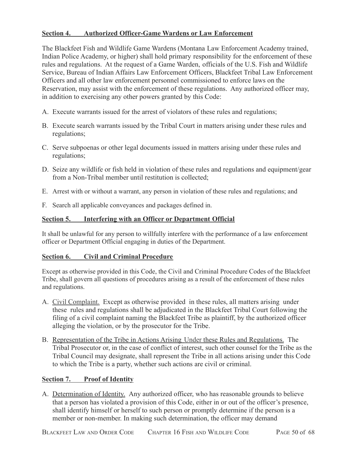## <span id="page-49-0"></span>**Section 4. Authorized Officer-Game Wardens or Law Enforcement**

The Blackfeet Fish and Wildlife Game Wardens (Montana Law Enforcement Academy trained, Indian Police Academy, or higher) shall hold primary responsibility for the enforcement of these rules and regulations. At the request of a Game Warden, officials of the U.S. Fish and Wildlife Service, Bureau of Indian Affairs Law Enforcement Officers, Blackfeet Tribal Law Enforcement Officers and all other law enforcement personnel commissioned to enforce laws on the Reservation, may assist with the enforcement of these regulations. Any authorized officer may, in addition to exercising any other powers granted by this Code:

- A. Execute warrants issued for the arrest of violators of these rules and regulations;
- B. Execute search warrants issued by the Tribal Court in matters arising under these rules and regulations;
- C. Serve subpoenas or other legal documents issued in matters arising under these rules and regulations;
- D. Seize any wildlife or fish held in violation of these rules and regulations and equipment/gear from a Non-Tribal member until restitution is collected;
- E. Arrest with or without a warrant, any person in violation of these rules and regulations; and
- F. Search all applicable conveyances and packages defined in.

## <span id="page-49-1"></span>**Section 5. Interfering with an Officer or Department Official**

It shall be unlawful for any person to willfully interfere with the performance of a law enforcement officer or Department Official engaging in duties of the Department.

### <span id="page-49-2"></span>**Section 6. Civil and Criminal Procedure**

Except as otherwise provided in this Code, the Civil and Criminal Procedure Codes of the Blackfeet Tribe, shall govern all questions of procedures arising as a result of the enforcement of these rules and regulations.

- A. Civil Complaint. Except as otherwise provided in these rules, all matters arising under these rules and regulations shall be adjudicated in the Blackfeet Tribal Court following the filing of a civil complaint naming the Blackfeet Tribe as plaintiff, by the authorized officer alleging the violation, or by the prosecutor for the Tribe.
- B. Representation of the Tribe in Actions Arising Under these Rules and Regulations. The Tribal Prosecutor or, in the case of conflict of interest, such other counsel for the Tribe as the Tribal Council may designate, shall represent the Tribe in all actions arising under this Code to which the Tribe is a party, whether such actions are civil or criminal.

### <span id="page-49-3"></span>**Section 7. Proof of Identity**

A. Determination of Identity. Any authorized officer, who has reasonable grounds to believe that a person has violated a provision of this Code, either in or out of the officer's presence, shall identify himself or herself to such person or promptly determine if the person is a member or non-member. In making such determination, the officer may demand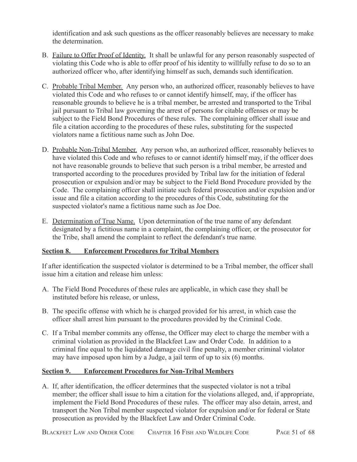identification and ask such questions as the officer reasonably believes are necessary to make the determination.

- B. Failure to Offer Proof of Identity. It shall be unlawful for any person reasonably suspected of violating this Code who is able to offer proof of his identity to willfully refuse to do so to an authorized officer who, after identifying himself as such, demands such identification.
- C. Probable Tribal Member. Any person who, an authorized officer, reasonably believes to have violated this Code and who refuses to or cannot identify himself, may, if the officer has reasonable grounds to believe he is a tribal member, be arrested and transported to the Tribal jail pursuant to Tribal law governing the arrest of persons for citable offenses or may be subject to the Field Bond Procedures of these rules. The complaining officer shall issue and file a citation according to the procedures of these rules, substituting for the suspected violators name a fictitious name such as John Doe.
- D. Probable Non-Tribal Member. Any person who, an authorized officer, reasonably believes to have violated this Code and who refuses to or cannot identify himself may, if the officer does not have reasonable grounds to believe that such person is a tribal member, be arrested and transported according to the procedures provided by Tribal law for the initiation of federal prosecution or expulsion and/or may be subject to the Field Bond Procedure provided by the Code. The complaining officer shall initiate such federal prosecution and/or expulsion and/or issue and file a citation according to the procedures of this Code, substituting for the suspected violator's name a fictitious name such as Joe Doe.
- E. Determination of True Name. Upon determination of the true name of any defendant designated by a fictitious name in a complaint, the complaining officer, or the prosecutor for the Tribe, shall amend the complaint to reflect the defendant's true name.

## <span id="page-50-0"></span>**Section 8. Enforcement Procedures for Tribal Members**

If after identification the suspected violator is determined to be a Tribal member, the officer shall issue him a citation and release him unless:

- A. The Field Bond Procedures of these rules are applicable, in which case they shall be instituted before his release, or unless,
- B. The specific offense with which he is charged provided for his arrest, in which case the officer shall arrest him pursuant to the procedures provided by the Criminal Code.
- C. If a Tribal member commits any offense, the Officer may elect to charge the member with a criminal violation as provided in the Blackfeet Law and Order Code. In addition to a criminal fine equal to the liquidated damage civil fine penalty, a member criminal violator may have imposed upon him by a Judge, a jail term of up to six (6) months.

### <span id="page-50-1"></span>**Section 9. Enforcement Procedures for Non-Tribal Members**

A. If, after identification, the officer determines that the suspected violator is not a tribal member; the officer shall issue to him a citation for the violations alleged, and, if appropriate, implement the Field Bond Procedures of these rules. The officer may also detain, arrest, and transport the Non Tribal member suspected violator for expulsion and/or for federal or State prosecution as provided by the Blackfeet Law and Order Criminal Code.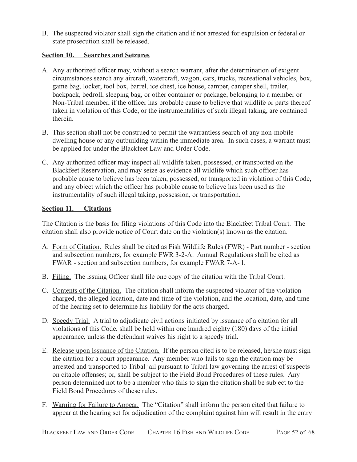B. The suspected violator shall sign the citation and if not arrested for expulsion or federal or state prosecution shall be released.

## <span id="page-51-0"></span>**Section 10. Searches and Seizures**

- A. Any authorized officer may, without a search warrant, after the determination of exigent circumstances search any aircraft, watercraft, wagon, cars, trucks, recreational vehicles, box, game bag, locker, tool box, barrel, ice chest, ice house, camper, camper shell, trailer, backpack, bedroll, sleeping bag, or other container or package, belonging to a member or Non-Tribal member, if the officer has probable cause to believe that wildlife or parts thereof taken in violation of this Code, or the instrumentalities of such illegal taking, are contained therein.
- B. This section shall not be construed to permit the warrantless search of any non-mobile dwelling house or any outbuilding within the immediate area. In such cases, a warrant must be applied for under the Blackfeet Law and Order Code.
- C. Any authorized officer may inspect all wildlife taken, possessed, or transported on the Blackfeet Reservation, and may seize as evidence all wildlife which such officer has probable cause to believe has been taken, possessed, or transported in violation of this Code, and any object which the officer has probable cause to believe has been used as the instrumentality of such illegal taking, possession, or transportation.

## <span id="page-51-1"></span>**Section 11. Citations**

The Citation is the basis for filing violations of this Code into the Blackfeet Tribal Court. The citation shall also provide notice of Court date on the violation(s) known as the citation.

- A. Form of Citation. Rules shall be cited as Fish Wildlife Rules (FWR) Part number section and subsection numbers, for example FWR 3-2-A. Annual Regulations shall be cited as FWAR - section and subsection numbers, for example FWAR 7-A- l.
- B. Filing. The issuing Officer shall file one copy of the citation with the Tribal Court.
- C. Contents of the Citation. The citation shall inform the suspected violator of the violation charged, the alleged location, date and time of the violation, and the location, date, and time of the hearing set to determine his liability for the acts charged.
- D. Speedy Trial. A trial to adjudicate civil actions initiated by issuance of a citation for all violations of this Code, shall be held within one hundred eighty (180) days of the initial appearance, unless the defendant waives his right to a speedy trial.
- E. Release upon Issuance of the Citation*.* If the person cited is to be released, he/she must sign the citation for a court appearance. Any member who fails to sign the citation may be arrested and transported to Tribal jail pursuant to Tribal law governing the arrest of suspects on citable offenses; or, shall be subject to the Field Bond Procedures of these rules. Any person determined not to be a member who fails to sign the citation shall be subject to the Field Bond Procedures of these rules.
- F. Warning for Failure to Appear. The "Citation" shall inform the person cited that failure to appear at the hearing set for adjudication of the complaint against him will result in the entry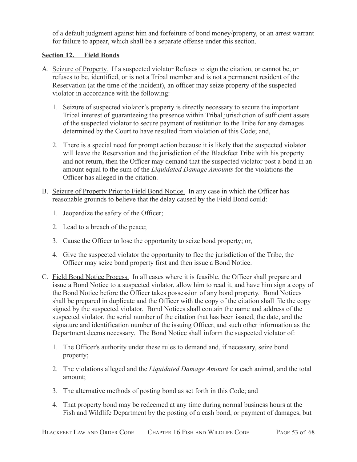of a default judgment against him and forfeiture of bond money/property, or an arrest warrant for failure to appear, which shall be a separate offense under this section.

## <span id="page-52-0"></span>**Section 12. Field Bonds**

- A. Seizure of Property. If a suspected violator Refuses to sign the citation, or cannot be, or refuses to be, identified, or is not a Tribal member and is not a permanent resident of the Reservation (at the time of the incident), an officer may seize property of the suspected violator in accordance with the following:
	- 1. Seizure of suspected violator's property is directly necessary to secure the important Tribal interest of guaranteeing the presence within Tribal jurisdiction of sufficient assets of the suspected violator to secure payment of restitution to the Tribe for any damages determined by the Court to have resulted from violation of this Code; and,
	- 2. There is a special need for prompt action because it is likely that the suspected violator will leave the Reservation and the jurisdiction of the Blackfeet Tribe with his property and not return, then the Officer may demand that the suspected violator post a bond in an amount equal to the sum of the *Liquidated Damage Amounts* for the violations the Officer has alleged in the citation.
- B. Seizure of Property Prior to Field Bond Notice. In any case in which the Officer has reasonable grounds to believe that the delay caused by the Field Bond could:
	- 1. Jeopardize the safety of the Officer;
	- 2. Lead to a breach of the peace;
	- 3. Cause the Officer to lose the opportunity to seize bond property; or,
	- 4. Give the suspected violator the opportunity to flee the jurisdiction of the Tribe, the Officer may seize bond property first and then issue a Bond Notice.
- C. Field Bond Notice Process. In all cases where it is feasible, the Officer shall prepare and issue a Bond Notice to a suspected violator, allow him to read it, and have him sign a copy of the Bond Notice before the Officer takes possession of any bond property. Bond Notices shall be prepared in duplicate and the Officer with the copy of the citation shall file the copy signed by the suspected violator. Bond Notices shall contain the name and address of the suspected violator, the serial number of the citation that has been issued, the date, and the signature and identification number of the issuing Officer, and such other information as the Department deems necessary. The Bond Notice shall inform the suspected violator of:
	- 1. The Officer's authority under these rules to demand and, if necessary, seize bond property;
	- 2. The violations alleged and the *Liquidated Damage Amount* for each animal, and the total amount;
	- 3. The alternative methods of posting bond as set forth in this Code; and
	- 4. That property bond may be redeemed at any time during normal business hours at the Fish and Wildlife Department by the posting of a cash bond, or payment of damages, but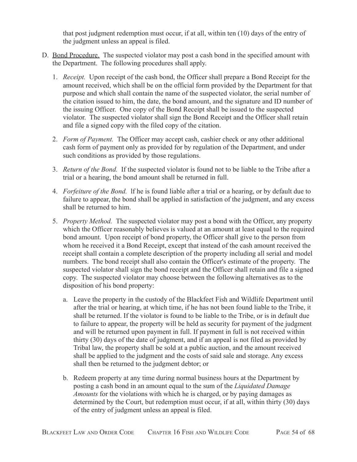that post judgment redemption must occur, if at all, within ten (10) days of the entry of the judgment unless an appeal is filed.

- D. Bond Procedure. The suspected violator may post a cash bond in the specified amount with the Department. The following procedures shall apply.
	- 1. *Receipt.* Upon receipt of the cash bond, the Officer shall prepare a Bond Receipt for the amount received, which shall be on the official form provided by the Department for that purpose and which shall contain the name of the suspected violator, the serial number of the citation issued to him, the date, the bond amount, and the signature and ID number of the issuing Officer. One copy of the Bond Receipt shall be issued to the suspected violator. The suspected violator shall sign the Bond Receipt and the Officer shall retain and file a signed copy with the filed copy of the citation.
	- 2. *Form of Payment.* The Officer may accept cash, cashier check or any other additional cash form of payment only as provided for by regulation of the Department, and under such conditions as provided by those regulations.
	- 3. *Return of the Bond.* If the suspected violator is found not to be liable to the Tribe after a trial or a hearing, the bond amount shall be returned in full.
	- 4. *Forfeiture of the Bond.* lf he is found liable after a trial or a hearing, or by default due to failure to appear, the bond shall be applied in satisfaction of the judgment, and any excess shall be returned to him.
	- 5. *Property Method.* The suspected violator may post a bond with the Officer, any property which the Officer reasonably believes is valued at an amount at least equal to the required bond amount. Upon receipt of bond property, the Officer shall give to the person from whom he received it a Bond Receipt, except that instead of the cash amount received the receipt shall contain a complete description of the property including all serial and model numbers. The bond receipt shall also contain the Officer's estimate of the property. The suspected violator shall sign the bond receipt and the Officer shall retain and file a signed copy. The suspected violator may choose between the following alternatives as to the disposition of his bond property:
		- a. Leave the property in the custody of the Blackfeet Fish and Wildlife Department until after the trial or hearing, at which time, if he has not been found liable to the Tribe, it shall be returned. If the violator is found to be liable to the Tribe, or is in default due to failure to appear, the property will be held as security for payment of the judgment and will be returned upon payment in full. If payment in full is not received within thirty (30) days of the date of judgment, and if an appeal is not filed as provided by Tribal law, the property shall be sold at a public auction, and the amount received shall be applied to the judgment and the costs of said sale and storage. Any excess shall then be returned to the judgment debtor; or
		- b. Redeem property at any time during normal business hours at the Department by posting a cash bond in an amount equal to the sum of the *Liquidated Damage Amounts* for the violations with which he is charged, or by paying damages as determined by the Court, but redemption must occur, if at all, within thirty (30) days of the entry of judgment unless an appeal is filed.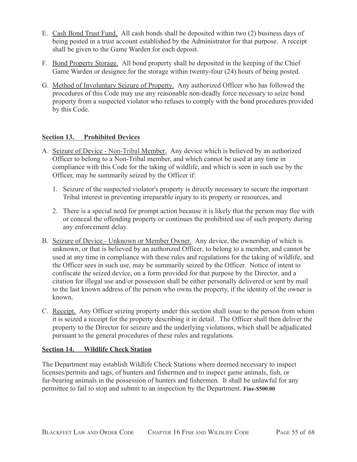- E. Cash Bond Trust Fund. All cash bonds shall be deposited within two (2) business days of being posted in a trust account established by the Administrator for that purpose. A receipt shall be given to the Game Warden for each deposit.
- F. Bond Property Storage. All bond property shall be deposited in the keeping of the Chief Game Warden or designee for the storage within twenty-four (24) hours of being posted.
- G. Method of Involuntary Seizure of Property. Any authorized Officer who has followed the procedures of this Code may use any reasonable non-deadly force necessary to seize bond property from a suspected violator who refuses to comply with the bond procedures provided by this Code.

## <span id="page-54-0"></span>**Section 13. Prohibited Devices**

- A. Seizure of Device Non-Tribal Member. Any device which is believed by an authorized Officer to belong to a Non-Tribal member, and which cannot be used at any time in compliance with this Code for the taking of wildlife, and which is seen in such use by the Officer, may be summarily seized by the Officer if:
	- 1. Seizure of the suspected violator's property is directly necessary to secure the important Tribal interest in preventing irreparable injury to its property or resources, and
	- 2. There is a special need for prompt action because it is likely that the person may flee with or conceal the offending property or continues the prohibited use of such property during any enforcement delay.
- B. Seizure of Device Unknown or Member Owner. Any device, the ownership of which is unknown, or that is believed by an authorized Officer, to belong to a member, and cannot be used at any time in compliance with these rules and regulations for the taking of wildlife, and the Officer sees in such use, may be summarily seized by the Officer. Notice of intent to confiscate the seized device, on a form provided for that purpose by the Director, and a citation for illegal use and/or possession shall be either personally delivered or sent by mail to the last known address of the person who owns the property, if the identity of the owner is known.
- C. Receipt. Any Officer seizing property under this section shall issue to the person from whom it is seized a receipt for the property describing it in detail. The Officer shall then deliver the property to the Director for seizure and the underlying violations, which shall be adjudicated pursuant to the general procedures of these rules and regulations.

## <span id="page-54-1"></span>**Section 14. Wildlife Check Station**

The Department may establish Wildlife Check Stations where deemed necessary to inspect licenses/permits and tags, of hunters and fishermen and to inspect game animals, fish, or fur-bearing animals in the possession of hunters and fishermen. It shall be unlawful for any permittee to fail to stop and submit to an inspection by the Department. **Fine-\$500.00**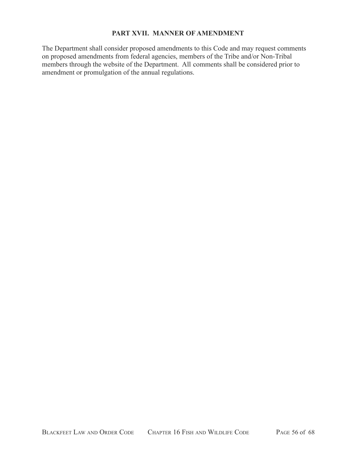## **PART XVII. MANNER OF AMENDMENT**

<span id="page-55-0"></span>The Department shall consider proposed amendments to this Code and may request comments on proposed amendments from federal agencies, members of the Tribe and/or Non-Tribal members through the website of the Department. All comments shall be considered prior to amendment or promulgation of the annual regulations.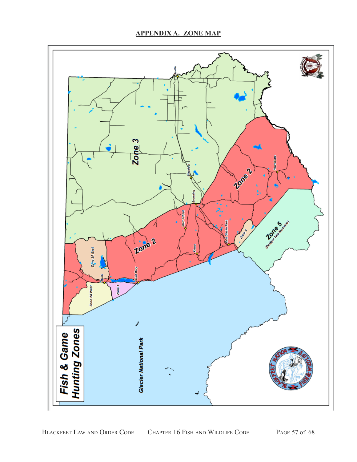<span id="page-56-0"></span>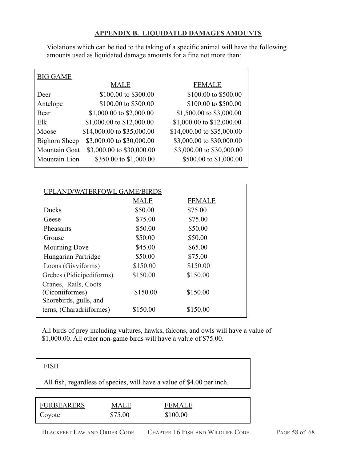## **APPENDIX B. LIQUIDATED DAMAGES AMOUNTS**

<span id="page-57-0"></span>Violations which can be tied to the taking of a specific animal will have the following amounts used as liquidated damage amounts for a fine not more than:

| <b>BIG GAME</b>      |                            |                            |
|----------------------|----------------------------|----------------------------|
|                      | <b>MALE</b>                | <b>FEMALE</b>              |
| Deer                 | \$100.00 to \$300.00       | \$100.00 to \$500.00       |
| Antelope             | \$100.00 to \$300.00       | \$100.00 to \$500.00       |
| Bear                 | \$1,000.00 to \$2,000.00   | \$1,500.00 to \$3,000.00   |
| E1k                  | \$1,000.00 to \$12,000.00  | \$1,000.00 to \$12,000.00  |
| Moose                | \$14,000.00 to \$35,000.00 | \$14,000.00 to \$35,000.00 |
| <b>Bighorn Sheep</b> | \$3,000.00 to \$30,000.00  | \$3,000.00 to \$30,000.00  |
| Mountain Goat        | \$3,000.00 to \$30,000.00  | \$3,000.00 to \$30,000.00  |
| Mountain Lion        | \$350.00 to \$1,000.00     | \$500.00 to \$1,000.00     |
|                      |                            |                            |

| UPLAND/WATERFOWL GAME/BIRDS |          |               |  |
|-----------------------------|----------|---------------|--|
|                             | MALE     | <b>FEMALE</b> |  |
| <b>Ducks</b>                | \$50.00  | \$75.00       |  |
| Geese                       | \$75.00  | \$75.00       |  |
| Pheasants                   | \$50.00  | \$50.00       |  |
| Grouse                      | \$50.00  | \$50.00       |  |
| Mourning Dove               | \$45.00  | \$65.00       |  |
| Hungarian Partridge         | \$50.00  | \$75.00       |  |
| Loons (Givviforms)          | \$150.00 | \$150.00      |  |
| Grebes (Pidicipediforms)    | \$150.00 | \$150.00      |  |
| Cranes, Rails, Coots        |          |               |  |
| (Ciconiiformes)             | \$150.00 | \$150.00      |  |
| Shorebirds, gulls, and      |          |               |  |
| terns, (Charadriiformes)    | \$150.00 | \$150.00      |  |

All birds of prey including vultures, hawks, falcons, and owls will have a value of \$1,000.00. All other non-game birds will have a value of \$75.00.

| <b>FISH</b>       |      |                                                                        |  |
|-------------------|------|------------------------------------------------------------------------|--|
|                   |      | All fish, regardless of species, will have a value of \$4.00 per inch. |  |
|                   |      |                                                                        |  |
| <b>FURBEARERS</b> | MALE | FEMALE                                                                 |  |

| <b>BLACKFEET LAW AND ORDER CODE</b> | CHAPTER 16 FISH AND WILDLIFE CODE | PAGE 58 of 68 |
|-------------------------------------|-----------------------------------|---------------|

Coyote \$75.00 \$100.00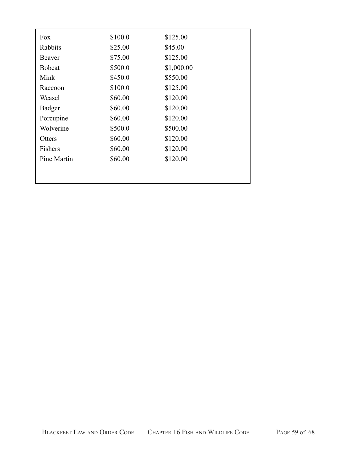| Fox           | \$100.0 | \$125.00   |
|---------------|---------|------------|
| Rabbits       | \$25.00 | \$45.00    |
| Beaver        | \$75.00 | \$125.00   |
| <b>Bobcat</b> | \$500.0 | \$1,000.00 |
| Mink          | \$450.0 | \$550.00   |
| Raccoon       | \$100.0 | \$125.00   |
| Weasel        | \$60.00 | \$120.00   |
| Badger        | \$60.00 | \$120.00   |
| Porcupine     | \$60.00 | \$120.00   |
| Wolverine     | \$500.0 | \$500.00   |
| Otters        | \$60.00 | \$120.00   |
| Fishers       | \$60.00 | \$120.00   |
| Pine Martin   | \$60.00 | \$120.00   |
|               |         |            |
|               |         |            |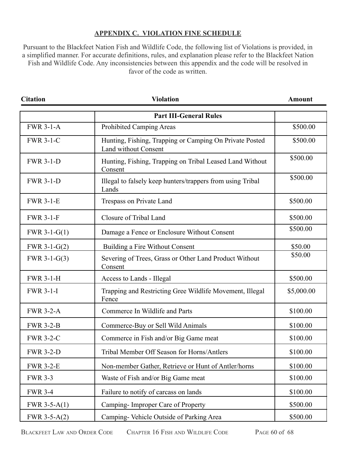## **APPENDIX C. VIOLATION FINE SCHEDULE**

<span id="page-59-0"></span>Pursuant to the Blackfeet Nation Fish and Wildlife Code, the following list of Violations is provided, in a simplified manner. For accurate definitions, rules, and explanation please refer to the Blackfeet Nation Fish and Wildlife Code. Any inconsistencies between this appendix and the code will be resolved in favor of the code as written.

| <b>Citation</b>  | <b>Violation</b>                                                                | <b>Amount</b> |
|------------------|---------------------------------------------------------------------------------|---------------|
|                  | <b>Part III-General Rules</b>                                                   |               |
| <b>FWR 3-1-A</b> | Prohibited Camping Areas                                                        | \$500.00      |
| <b>FWR 3-1-C</b> | Hunting, Fishing, Trapping or Camping On Private Posted<br>Land without Consent | \$500.00      |
| <b>FWR 3-1-D</b> | Hunting, Fishing, Trapping on Tribal Leased Land Without<br>Consent             | \$500.00      |
| <b>FWR 3-1-D</b> | Illegal to falsely keep hunters/trappers from using Tribal<br>Lands             | \$500.00      |
| <b>FWR 3-1-E</b> | Trespass on Private Land                                                        | \$500.00      |
| <b>FWR 3-1-F</b> | Closure of Tribal Land                                                          | \$500.00      |
| FWR $3-1-G(1)$   | Damage a Fence or Enclosure Without Consent                                     | \$500.00      |
| FWR 3-1- $G(2)$  | Building a Fire Without Consent                                                 | \$50.00       |
| FWR $3-1-G(3)$   | Severing of Trees, Grass or Other Land Product Without<br>Consent               | \$50.00       |
| <b>FWR 3-1-H</b> | Access to Lands - Illegal                                                       | \$500.00      |
| <b>FWR 3-1-I</b> | Trapping and Restricting Gree Wildlife Movement, Illegal<br>Fence               | \$5,000.00    |
| <b>FWR 3-2-A</b> | Commerce In Wildlife and Parts                                                  | \$100.00      |
| <b>FWR 3-2-B</b> | Commerce-Buy or Sell Wild Animals                                               | \$100.00      |
| <b>FWR 3-2-C</b> | Commerce in Fish and/or Big Game meat                                           | \$100.00      |
| <b>FWR 3-2-D</b> | Tribal Member Off Season for Horns/Antlers                                      | \$100.00      |
| <b>FWR 3-2-E</b> | Non-member Gather, Retrieve or Hunt of Antler/horns                             | \$100.00      |
| <b>FWR 3-3</b>   | Waste of Fish and/or Big Game meat                                              | \$100.00      |
| <b>FWR 3-4</b>   | Failure to notify of carcass on lands                                           | \$100.00      |
| FWR $3-5-A(1)$   | Camping-Improper Care of Property                                               | \$500.00      |
| FWR $3-5-A(2)$   | Camping-Vehicle Outside of Parking Area                                         | \$500.00      |

BLACKFEET LAW AND ORDER CODE CHAPTER 16 FISH AND WILDLIFE CODE PAGE 60 of 68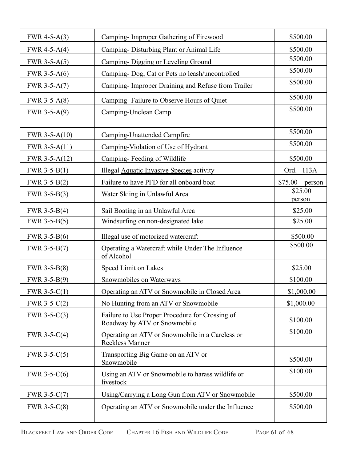| FWR 4-5-A $(3)$  | Camping-Improper Gathering of Firewood                                          | \$500.00          |
|------------------|---------------------------------------------------------------------------------|-------------------|
| FWR 4-5-A $(4)$  | Camping-Disturbing Plant or Animal Life                                         | \$500.00          |
| FWR $3-5-A(5)$   | Camping- Digging or Leveling Ground                                             | \$500.00          |
| FWR $3-5-A(6)$   | Camping- Dog, Cat or Pets no leash/uncontrolled                                 | \$500.00          |
| FWR $3-5-A(7)$   | Camping- Improper Draining and Refuse from Trailer                              | \$500.00          |
| FWR $3-5-A(8)$   | Camping-Failure to Observe Hours of Quiet                                       | \$500.00          |
| FWR $3-5-A(9)$   | Camping-Unclean Camp                                                            | \$500.00          |
| FWR $3-5-A(10)$  | Camping-Unattended Campfire                                                     | \$500.00          |
| FWR $3-5-A(11)$  | Camping-Violation of Use of Hydrant                                             | \$500.00          |
| FWR 3-5-A $(12)$ | Camping-Feeding of Wildlife                                                     | \$500.00          |
| FWR $3-5-B(1)$   | Illegal <b>Aquatic Invasive Species</b> activity                                | 113A<br>Ord.      |
| FWR $3-5-B(2)$   | Failure to have PFD for all onboard boat                                        | \$75.00<br>person |
| FWR $3-5-B(3)$   | Water Skiing in Unlawful Area                                                   | \$25.00<br>person |
| FWR $3-5-B(4)$   | Sail Boating in an Unlawful Area                                                | \$25.00           |
| FWR $3-5-B(5)$   | Windsurfing on non-designated lake                                              | \$25.00           |
| FWR $3-5-B(6)$   | Illegal use of motorized watercraft                                             | \$500.00          |
| FWR $3-5-B(7)$   | Operating a Watercraft while Under The Influence<br>of Alcohol                  | \$500.00          |
| FWR $3-5-B(8)$   | Speed Limit on Lakes                                                            | \$25.00           |
| FWR $3-5-B(9)$   | Snowmobiles on Waterways                                                        | \$100.00          |
| FWR 3-5- $C(1)$  | Operating an ATV or Snowmobile in Closed Area                                   | \$1,000.00        |
| FWR $3-5-C(2)$   | No Hunting from an ATV or Snowmobile                                            | \$1,000.00        |
| FWR $3-5-C(3)$   | Failure to Use Proper Procedure for Crossing of<br>Roadway by ATV or Snowmobile | \$100.00          |
| FWR $3-5-C(4)$   | Operating an ATV or Snowmobile in a Careless or<br><b>Reckless Manner</b>       | \$100.00          |
| FWR 3-5- $C(5)$  | Transporting Big Game on an ATV or<br>Snowmobile                                | \$500.00          |
| FWR 3-5- $C(6)$  | Using an ATV or Snowmobile to harass wildlife or<br>livestock                   | \$100.00          |
| FWR $3-5-C(7)$   | Using/Carrying a Long Gun from ATV or Snowmobile                                | \$500.00          |
| FWR $3-5-C(8)$   | Operating an ATV or Snowmobile under the Influence                              | \$500.00          |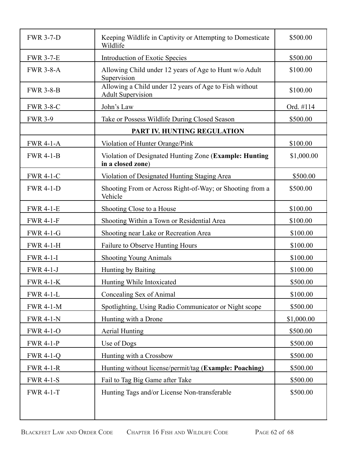| <b>FWR 3-7-D</b> | Keeping Wildlife in Captivity or Attempting to Domesticate<br>Wildlife             | \$500.00   |
|------------------|------------------------------------------------------------------------------------|------------|
| <b>FWR 3-7-E</b> | Introduction of Exotic Species                                                     | \$500.00   |
| <b>FWR 3-8-A</b> | Allowing Child under 12 years of Age to Hunt w/o Adult<br>Supervision              | \$100.00   |
| <b>FWR 3-8-B</b> | Allowing a Child under 12 years of Age to Fish without<br><b>Adult Supervision</b> | \$100.00   |
| <b>FWR 3-8-C</b> | John's Law                                                                         | Ord. #114  |
| <b>FWR 3-9</b>   | Take or Possess Wildlife During Closed Season                                      | \$500.00   |
|                  | PART IV. HUNTING REGULATION                                                        |            |
| <b>FWR 4-1-A</b> | Violation of Hunter Orange/Pink                                                    | \$100.00   |
| <b>FWR 4-1-B</b> | Violation of Designated Hunting Zone (Example: Hunting<br>in a closed zone)        | \$1,000.00 |
| <b>FWR 4-1-C</b> | Violation of Designated Hunting Staging Area                                       | \$500.00   |
| <b>FWR 4-1-D</b> | Shooting From or Across Right-of-Way; or Shooting from a<br>Vehicle                | \$500.00   |
| <b>FWR 4-1-E</b> | Shooting Close to a House                                                          | \$100.00   |
| <b>FWR 4-1-F</b> | Shooting Within a Town or Residential Area                                         | \$100.00   |
| <b>FWR 4-1-G</b> | Shooting near Lake or Recreation Area                                              | \$100.00   |
| <b>FWR 4-1-H</b> | Failure to Observe Hunting Hours                                                   | \$100.00   |
| <b>FWR 4-1-I</b> | <b>Shooting Young Animals</b>                                                      | \$100.00   |
| <b>FWR 4-1-J</b> | Hunting by Baiting                                                                 | \$100.00   |
| <b>FWR 4-1-K</b> | Hunting While Intoxicated                                                          | \$500.00   |
| <b>FWR 4-1-L</b> | Concealing Sex of Animal                                                           | \$100.00   |
| <b>FWR 4-1-M</b> | Spotlighting, Using Radio Communicator or Night scope                              | \$500.00   |
| <b>FWR 4-1-N</b> | Hunting with a Drone                                                               | \$1,000.00 |
| <b>FWR 4-1-O</b> | <b>Aerial Hunting</b>                                                              | \$500.00   |
| <b>FWR 4-1-P</b> | Use of Dogs                                                                        | \$500.00   |
| <b>FWR 4-1-Q</b> | Hunting with a Crossbow                                                            | \$500.00   |
| <b>FWR 4-1-R</b> | Hunting without license/permit/tag (Example: Poaching)                             | \$500.00   |
| <b>FWR 4-1-S</b> | Fail to Tag Big Game after Take                                                    | \$500.00   |
| <b>FWR 4-1-T</b> | Hunting Tags and/or License Non-transferable                                       | \$500.00   |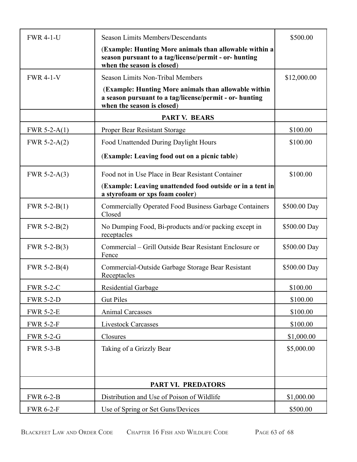| <b>FWR 4-1-U</b> | <b>Season Limits Members/Descendants</b>                                                                                                      | \$500.00     |
|------------------|-----------------------------------------------------------------------------------------------------------------------------------------------|--------------|
|                  | (Example: Hunting More animals than allowable within a<br>season pursuant to a tag/license/permit - or- hunting<br>when the season is closed) |              |
| <b>FWR 4-1-V</b> | <b>Season Limits Non-Tribal Members</b>                                                                                                       | \$12,000.00  |
|                  | (Example: Hunting More animals than allowable within<br>a season pursuant to a tag/license/permit - or- hunting<br>when the season is closed) |              |
|                  | <b>PART V. BEARS</b>                                                                                                                          |              |
| FWR 5-2- $A(1)$  | Proper Bear Resistant Storage                                                                                                                 | \$100.00     |
| FWR 5-2- $A(2)$  | Food Unattended During Daylight Hours                                                                                                         | \$100.00     |
|                  | (Example: Leaving food out on a picnic table)                                                                                                 |              |
| FWR 5-2- $A(3)$  | Food not in Use Place in Bear Resistant Container                                                                                             | \$100.00     |
|                  | (Example: Leaving unattended food outside or in a tent in<br>a styrofoam or xps foam cooler)                                                  |              |
| FWR $5-2-B(1)$   | <b>Commercially Operated Food Business Garbage Containers</b><br>Closed                                                                       | \$500.00 Day |
| FWR $5-2-B(2)$   | No Dumping Food, Bi-products and/or packing except in<br>receptacles                                                                          | \$500.00 Day |
| FWR $5-2-B(3)$   | Commercial – Grill Outside Bear Resistant Enclosure or<br>Fence                                                                               | \$500.00 Day |
| FWR $5-2-B(4)$   | Commercial-Outside Garbage Storage Bear Resistant<br>Receptacles                                                                              | \$500.00 Day |
| <b>FWR 5-2-C</b> | <b>Residential Garbage</b>                                                                                                                    | \$100.00     |
| <b>FWR 5-2-D</b> | <b>Gut Piles</b>                                                                                                                              | \$100.00     |
| <b>FWR 5-2-E</b> | <b>Animal Carcasses</b>                                                                                                                       | \$100.00     |
| <b>FWR 5-2-F</b> | <b>Livestock Carcasses</b>                                                                                                                    | \$100.00     |
| <b>FWR 5-2-G</b> | Closures                                                                                                                                      | \$1,000.00   |
| <b>FWR 5-3-B</b> | Taking of a Grizzly Bear                                                                                                                      | \$5,000.00   |
|                  | PART VI. PREDATORS                                                                                                                            |              |
| <b>FWR 6-2-B</b> | Distribution and Use of Poison of Wildlife                                                                                                    | \$1,000.00   |
| <b>FWR 6-2-F</b> | Use of Spring or Set Guns/Devices                                                                                                             | \$500.00     |

BLACKFEET LAW AND ORDER CODE CHAPTER 16 FISH AND WILDLIFE CODE PAGE 63 of 68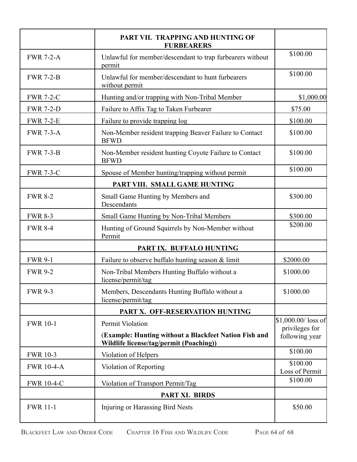|                   | PART VII. TRAPPING AND HUNTING OF<br><b>FURBEARERS</b>                                           |                                        |
|-------------------|--------------------------------------------------------------------------------------------------|----------------------------------------|
| <b>FWR 7-2-A</b>  | Unlawful for member/descendant to trap furbearers without<br>permit                              | \$100.00                               |
| <b>FWR 7-2-B</b>  | Unlawful for member/descendant to hunt furbearers<br>without permit                              | \$100.00                               |
| <b>FWR 7-2-C</b>  | Hunting and/or trapping with Non-Tribal Member                                                   | \$1,000.00                             |
| <b>FWR 7-2-D</b>  | Failure to Affix Tag to Taken Furbearer                                                          | \$75.00                                |
| <b>FWR 7-2-E</b>  | Failure to provide trapping log                                                                  | \$100.00                               |
| <b>FWR 7-3-A</b>  | Non-Member resident trapping Beaver Failure to Contact<br><b>BFWD</b>                            | \$100.00                               |
| <b>FWR 7-3-B</b>  | Non-Member resident hunting Coyote Failure to Contact<br><b>BFWD</b>                             | \$100.00                               |
| <b>FWR 7-3-C</b>  | Spouse of Member hunting/trapping without permit                                                 | \$100.00                               |
|                   | PART VIII. SMALL GAME HUNTING                                                                    |                                        |
| <b>FWR 8-2</b>    | Small Game Hunting by Members and<br>Descendants                                                 | \$300.00                               |
| <b>FWR 8-3</b>    | Small Game Hunting by Non-Tribal Members                                                         | \$300.00                               |
| <b>FWR 8-4</b>    | Hunting of Ground Squirrels by Non-Member without<br>Permit                                      | \$200.00                               |
|                   | PART IX. BUFFALO HUNTING                                                                         |                                        |
| <b>FWR 9-1</b>    | Failure to observe buffalo hunting season $\&$ limit                                             | \$2000.00                              |
| <b>FWR 9-2</b>    | Non-Tribal Members Hunting Buffalo without a<br>license/permit/tag                               | \$1000.00                              |
| <b>FWR 9-3</b>    | Members, Descendants Hunting Buffalo without a<br>license/permit/tag                             | \$1000.00                              |
|                   | PART X. OFF-RESERVATION HUNTING                                                                  |                                        |
| <b>FWR 10-1</b>   | Permit Violation                                                                                 | $$1,000.00/$ loss of<br>privileges for |
|                   | (Example: Hunting without a Blackfeet Nation Fish and<br>Wildlife license/tag/permit (Poaching)) | following year                         |
| <b>FWR 10-3</b>   | Violation of Helpers                                                                             | \$100.00                               |
| <b>FWR 10-4-A</b> | Violation of Reporting                                                                           | \$100.00<br>Loss of Permit             |
| <b>FWR 10-4-C</b> | Violation of Transport Permit/Tag                                                                | \$100.00                               |
|                   | PART XI. BIRDS                                                                                   |                                        |
| <b>FWR 11-1</b>   | Injuring or Harassing Bird Nests                                                                 | \$50.00                                |

BLACKFEET LAW AND ORDER CODE CHAPTER 16 FISH AND WILDLIFE CODE PAGE 64 of 68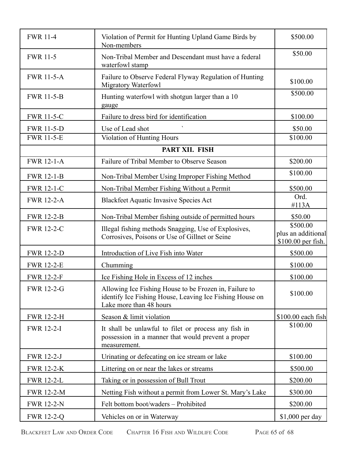| <b>FWR 11-4</b>   | Violation of Permit for Hunting Upland Game Birds by<br>Non-members                                                                           | \$500.00                                             |
|-------------------|-----------------------------------------------------------------------------------------------------------------------------------------------|------------------------------------------------------|
| <b>FWR 11-5</b>   | Non-Tribal Member and Descendant must have a federal<br>waterfowl stamp                                                                       | \$50.00                                              |
| <b>FWR 11-5-A</b> | Failure to Observe Federal Flyway Regulation of Hunting<br><b>Migratory Waterfowl</b>                                                         | \$100.00                                             |
| <b>FWR 11-5-B</b> | Hunting waterfowl with shotgun larger than a 10<br>gauge                                                                                      | \$500.00                                             |
| <b>FWR 11-5-C</b> | Failure to dress bird for identification                                                                                                      | \$100.00                                             |
| <b>FWR 11-5-D</b> | Use of Lead shot                                                                                                                              | \$50.00                                              |
| <b>FWR 11-5-E</b> | Violation of Hunting Hours                                                                                                                    | \$100.00                                             |
|                   | PART XII. FISH                                                                                                                                |                                                      |
| <b>FWR 12-1-A</b> | Failure of Tribal Member to Observe Season                                                                                                    | \$200.00                                             |
| <b>FWR 12-1-B</b> | Non-Tribal Member Using Improper Fishing Method                                                                                               | \$100.00                                             |
| <b>FWR 12-1-C</b> | Non-Tribal Member Fishing Without a Permit                                                                                                    | \$500.00                                             |
| <b>FWR 12-2-A</b> | <b>Blackfeet Aquatic Invasive Species Act</b>                                                                                                 | Ord.<br>#113A                                        |
| <b>FWR 12-2-B</b> | Non-Tribal Member fishing outside of permitted hours                                                                                          | \$50.00                                              |
| <b>FWR 12-2-C</b> | Illegal fishing methods Snagging, Use of Explosives,<br>Corrosives, Poisons or Use of Gillnet or Seine                                        | \$500.00<br>plus an additional<br>\$100.00 per fish. |
| <b>FWR 12-2-D</b> | Introduction of Live Fish into Water                                                                                                          | \$500.00                                             |
| <b>FWR 12-2-E</b> | Chumming                                                                                                                                      | \$100.00                                             |
| <b>FWR 12-2-F</b> | Ice Fishing Hole in Excess of 12 inches                                                                                                       | \$100.00                                             |
| <b>FWR 12-2-G</b> | Allowing Ice Fishing House to be Frozen in, Failure to<br>identify Ice Fishing House, Leaving Ice Fishing House on<br>Lake more than 48 hours | \$100.00                                             |
| <b>FWR 12-2-H</b> | Season & limit violation                                                                                                                      | \$100.00 each fish                                   |
| <b>FWR 12-2-I</b> | It shall be unlawful to filet or process any fish in<br>possession in a manner that would prevent a proper<br>measurement.                    | \$100.00                                             |
| <b>FWR 12-2-J</b> | Urinating or defecating on ice stream or lake                                                                                                 | \$100.00                                             |
| <b>FWR 12-2-K</b> | Littering on or near the lakes or streams                                                                                                     | \$500.00                                             |
| <b>FWR 12-2-L</b> | Taking or in possession of Bull Trout                                                                                                         | \$200.00                                             |
| <b>FWR 12-2-M</b> | Netting Fish without a permit from Lower St. Mary's Lake                                                                                      | \$300.00                                             |
| <b>FWR 12-2-N</b> | Felt bottom boot/waders - Prohibited                                                                                                          | \$200.00                                             |
| <b>FWR 12-2-Q</b> | Vehicles on or in Waterway                                                                                                                    | \$1,000 per day                                      |
|                   |                                                                                                                                               |                                                      |

BLACKFEET LAW AND ORDER CODE CHAPTER 16 FISH AND WILDLIFE CODE PAGE 65 of 68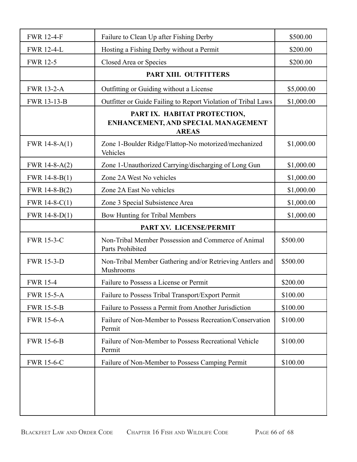| <b>FWR 12-4-F</b> | Failure to Clean Up after Fishing Derby                                                    | \$500.00   |
|-------------------|--------------------------------------------------------------------------------------------|------------|
| <b>FWR 12-4-L</b> | Hosting a Fishing Derby without a Permit                                                   | \$200.00   |
| <b>FWR 12-5</b>   | Closed Area or Species                                                                     | \$200.00   |
|                   | PART XIII. OUTFITTERS                                                                      |            |
| <b>FWR 13-2-A</b> | Outfitting or Guiding without a License                                                    | \$5,000.00 |
| FWR 13-13-B       | Outfitter or Guide Failing to Report Violation of Tribal Laws                              | \$1,000.00 |
|                   | PART IX. HABITAT PROTECTION,<br><b>ENHANCEMENT, AND SPECIAL MANAGEMENT</b><br><b>AREAS</b> |            |
| FWR $14-8-A(1)$   | Zone 1-Boulder Ridge/Flattop-No motorized/mechanized<br>Vehicles                           | \$1,000.00 |
| FWR 14-8-A $(2)$  | Zone 1-Unauthorized Carrying/discharging of Long Gun                                       | \$1,000.00 |
| FWR $14-8-B(1)$   | Zone 2A West No vehicles                                                                   | \$1,000.00 |
| FWR 14-8-B(2)     | Zone 2A East No vehicles                                                                   | \$1,000.00 |
| FWR 14-8- $C(1)$  | Zone 3 Special Subsistence Area                                                            | \$1,000.00 |
| FWR $14-8-D(1)$   | Bow Hunting for Tribal Members                                                             | \$1,000.00 |
|                   | PART XV. LICENSE/PERMIT                                                                    |            |
| <b>FWR 15-3-C</b> | Non-Tribal Member Possession and Commerce of Animal<br>Parts Prohibited                    | \$500.00   |
| <b>FWR 15-3-D</b> | Non-Tribal Member Gathering and/or Retrieving Antlers and<br>Mushrooms                     | \$500.00   |
| <b>FWR 15-4</b>   | Failure to Possess a License or Permit                                                     | \$200.00   |
| <b>FWR 15-5-A</b> | Failure to Possess Tribal Transport/Export Permit                                          | \$100.00   |
| <b>FWR 15-5-B</b> | Failure to Possess a Permit from Another Jurisdiction                                      | \$100.00   |
| <b>FWR 15-6-A</b> | Failure of Non-Member to Possess Recreation/Conservation<br>Permit                         | \$100.00   |
| <b>FWR 15-6-B</b> | Failure of Non-Member to Possess Recreational Vehicle<br>Permit                            | \$100.00   |
| <b>FWR 15-6-C</b> | Failure of Non-Member to Possess Camping Permit                                            | \$100.00   |
|                   |                                                                                            |            |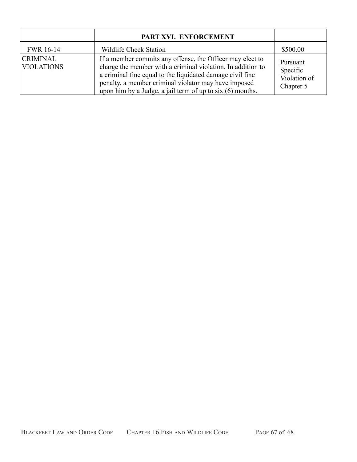|                                      | PART XVI. ENFORCEMENT                                                                                                                                                                                                                                                                                      |                                                   |
|--------------------------------------|------------------------------------------------------------------------------------------------------------------------------------------------------------------------------------------------------------------------------------------------------------------------------------------------------------|---------------------------------------------------|
| <b>FWR 16-14</b>                     | <b>Wildlife Check Station</b>                                                                                                                                                                                                                                                                              | \$500.00                                          |
| <b>CRIMINAL</b><br><b>VIOLATIONS</b> | If a member commits any offense, the Officer may elect to<br>charge the member with a criminal violation. In addition to<br>a criminal fine equal to the liquidated damage civil fine<br>penalty, a member criminal violator may have imposed<br>upon him by a Judge, a jail term of up to six (6) months. | Pursuant<br>Specific<br>Violation of<br>Chapter 5 |